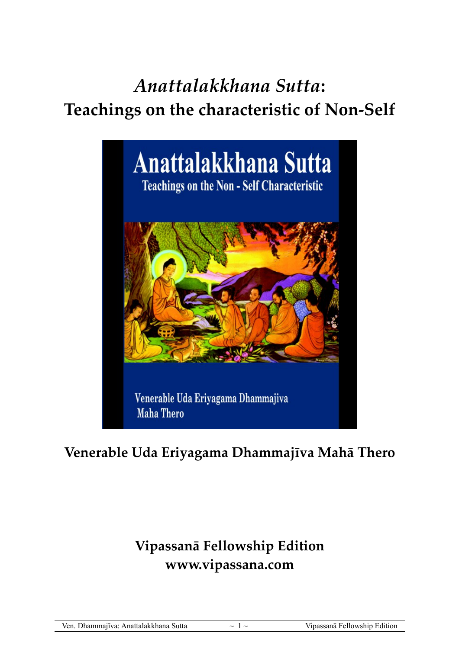# *Anattalakkhana Sutta***:**

## **Teachings on the characteristic of Non-Self**



### **Venerable Uda Eriyagama Dhammajīva Mahā Thero**

## **Vipassanā Fellowship Edition www.vipassana.com**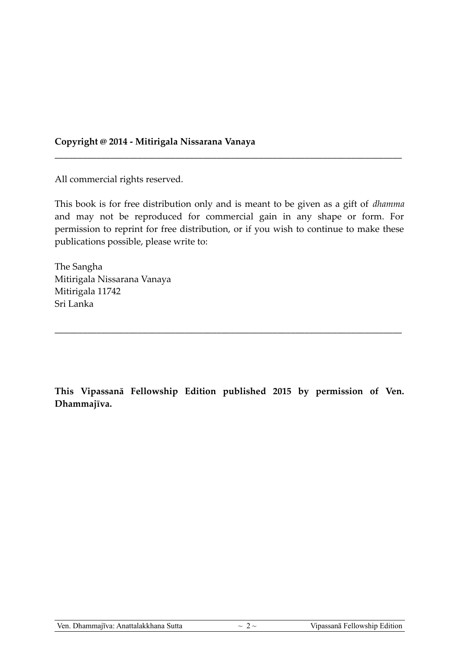#### **Copyright @ 2014 - Mitirigala Nissarana Vanaya**

All commercial rights reserved.

This book is for free distribution only and is meant to be given as a gift of *dhamma* and may not be reproduced for commercial gain in any shape or form. For permission to reprint for free distribution, or if you wish to continue to make these publications possible, please write to:

\_\_\_\_\_\_\_\_\_\_\_\_\_\_\_\_\_\_\_\_\_\_\_\_\_\_\_\_\_\_\_\_\_\_\_\_\_\_\_\_\_\_\_\_\_\_\_\_\_\_\_\_\_\_\_\_\_\_\_\_\_\_\_\_\_\_\_\_\_\_\_\_\_\_\_

The Sangha Mitirigala Nissarana Vanaya Mitirigala 11742 Sri Lanka

**This Vipassanā Fellowship Edition published 2015 by permission of Ven. Dhammajīva.**

\_\_\_\_\_\_\_\_\_\_\_\_\_\_\_\_\_\_\_\_\_\_\_\_\_\_\_\_\_\_\_\_\_\_\_\_\_\_\_\_\_\_\_\_\_\_\_\_\_\_\_\_\_\_\_\_\_\_\_\_\_\_\_\_\_\_\_\_\_\_\_\_\_\_\_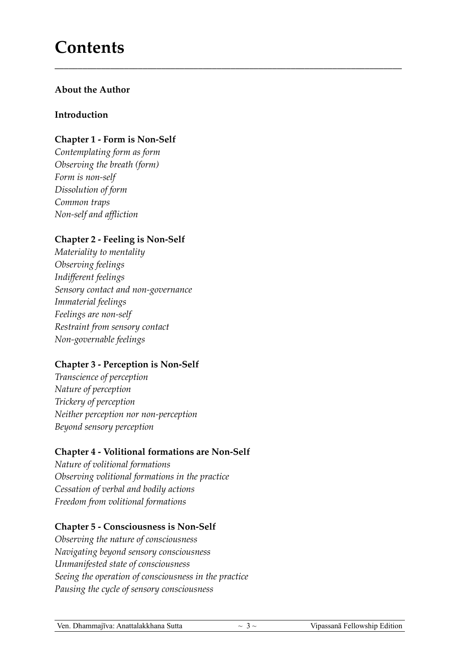## **Contents**

#### **About the Author**

#### **Introduction**

#### **Chapter 1 - Form is Non-Self**

*Contemplating form as form Observing the breath (form) Form is non-self Dissolution of form Common traps Non-self and affliction*

#### **Chapter 2 - Feeling is Non-Self**

*Materiality to mentality Observing feelings Indifferent feelings Sensory contact and non-governance Immaterial feelings Feelings are non-self Restraint from sensory contact Non-governable feelings*

#### **Chapter 3 - Perception is Non-Self**

*Transcience of perception Nature of perception Trickery of perception Neither perception nor non-perception Beyond sensory perception*

#### **Chapter 4 - Volitional formations are Non-Self**

*Nature of volitional formations Observing volitional formations in the practice Cessation of verbal and bodily actions Freedom from volitional formations*

#### **Chapter 5 - Consciousness is Non-Self**

*Observing the nature of consciousness Navigating beyond sensory consciousness Unmanifested state of consciousness Seeing the operation of consciousness in the practice Pausing the cycle of sensory consciousness*

**\_\_\_\_\_\_\_\_\_\_\_\_\_\_\_\_\_\_\_\_\_\_\_\_\_\_\_\_\_\_\_\_\_\_\_\_\_\_\_\_\_\_\_\_\_\_\_\_\_\_\_\_\_\_\_\_\_\_\_\_\_\_\_\_\_\_\_\_\_\_\_\_\_\_\_**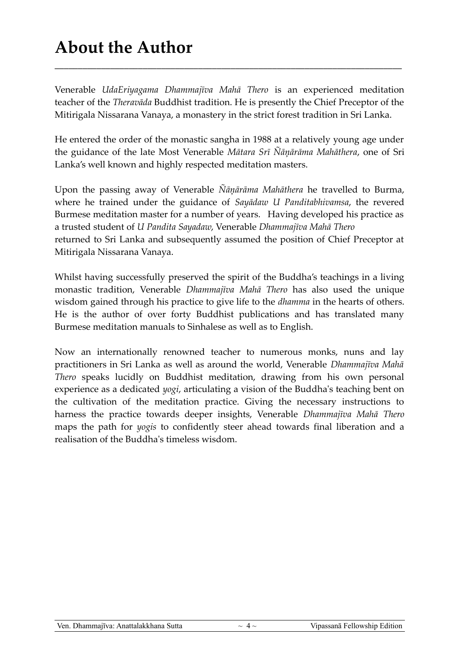## **About the Author**

Venerable *UdaEriyagama Dhammajīva Mahā Thero* is an experienced meditation teacher of the *Theravāda* Buddhist tradition. He is presently the Chief Preceptor of the Mitirigala Nissarana Vanaya, a monastery in the strict forest tradition in Sri Lanka.

**\_\_\_\_\_\_\_\_\_\_\_\_\_\_\_\_\_\_\_\_\_\_\_\_\_\_\_\_\_\_\_\_\_\_\_\_\_\_\_\_\_\_\_\_\_\_\_\_\_\_\_\_\_\_\_\_\_\_\_\_\_\_\_\_\_\_\_\_\_\_\_\_\_\_\_**

He entered the order of the monastic sangha in 1988 at a relatively young age under the guidance of the late Most Venerable *Mātara Srī Ñāņārāma Mahāthera*, one of Sri Lanka's well known and highly respected meditation masters.

Upon the passing away of Venerable *Ñāņārāma Mahāthera* he travelled to Burma, where he trained under the guidance of *Sayādaw U Panditabhivamsa*, the revered Burmese meditation master for a number of years. Having developed his practice as a trusted student of *U Pandita Sayadaw*, Venerable *Dhammajīva Mahā Thero* returned to Sri Lanka and subsequently assumed the position of Chief Preceptor at Mitirigala Nissarana Vanaya.

Whilst having successfully preserved the spirit of the Buddha's teachings in a living monastic tradition, Venerable *Dhammajīva Mahā Thero* has also used the unique wisdom gained through his practice to give life to the *dhamma* in the hearts of others. He is the author of over forty Buddhist publications and has translated many Burmese meditation manuals to Sinhalese as well as to English.

Now an internationally renowned teacher to numerous monks, nuns and lay practitioners in Sri Lanka as well as around the world, Venerable *Dhammajīva Mahā Thero* speaks lucidly on Buddhist meditation, drawing from his own personal experience as a dedicated *yogi*, articulating a vision of the Buddha's teaching bent on the cultivation of the meditation practice. Giving the necessary instructions to harness the practice towards deeper insights, Venerable *Dhammajīva Mahā Thero* maps the path for *yogis* to confidently steer ahead towards final liberation and a realisation of the Buddha's timeless wisdom.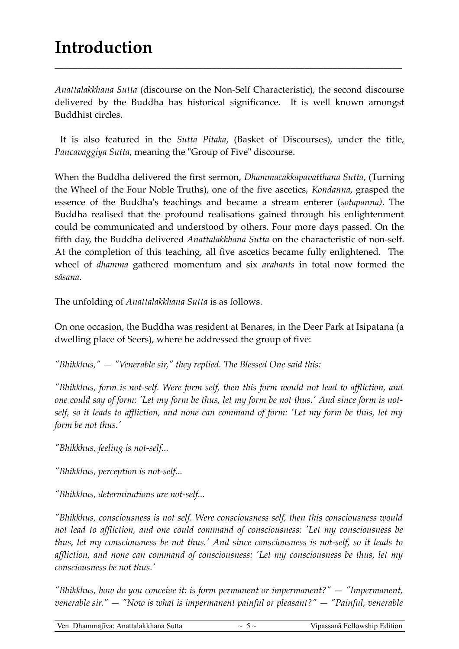## **Introduction**

*Anattalakkhana Sutta* (discourse on the Non-Self Characteristic), the second discourse delivered by the Buddha has historical significance. It is well known amongst Buddhist circles.

\_\_\_\_\_\_\_\_\_\_\_\_\_\_\_\_\_\_\_\_\_\_\_\_\_\_\_\_\_\_\_\_\_\_\_\_\_\_\_\_\_\_\_\_\_\_\_\_\_\_\_\_\_\_\_\_\_\_\_\_\_\_\_\_\_\_\_\_\_\_\_\_\_\_\_

 It is also featured in the *Sutta Pitaka*, (Basket of Discourses), under the title, *Pancavaggiya Sutta*, meaning the "Group of Five" discourse.

When the Buddha delivered the first sermon, *Dhammacakkapavatthana Sutta*, (Turning the Wheel of the Four Noble Truths), one of the five ascetics, *Kondanna*, grasped the essence of the Buddha's teachings and became a stream enterer (*sotapanna)*. The Buddha realised that the profound realisations gained through his enlightenment could be communicated and understood by others. Four more days passed. On the fifth day, the Buddha delivered *Anattalakkhana Sutta* on the characteristic of non-self. At the completion of this teaching, all five ascetics became fully enlightened. The wheel of *dhamma* gathered momentum and six *arahants* in total now formed the *sāsana*.

The unfolding of *Anattalakkhana Sutta* is as follows.

On one occasion, the Buddha was resident at Benares, in the Deer Park at Isipatana (a dwelling place of Seers), where he addressed the group of five:

*"Bhikkhus," — "Venerable sir," they replied. The Blessed One said this:*

*"Bhikkhus, form is not-self. Were form self, then this form would not lead to affliction, and one could say of form: 'Let my form be thus, let my form be not thus.' And since form is notself, so it leads to affliction, and none can command of form: 'Let my form be thus, let my form be not thus.'*

*"Bhikkhus, feeling is not-self...*

*"Bhikkhus, perception is not-self...*

*"Bhikkhus, determinations are not-self...*

*"Bhikkhus, consciousness is not self. Were consciousness self, then this consciousness would not lead to affliction, and one could command of consciousness: 'Let my consciousness be thus, let my consciousness be not thus.' And since consciousness is not-self, so it leads to affliction, and none can command of consciousness: 'Let my consciousness be thus, let my consciousness be not thus.'*

*"Bhikkhus, how do you conceive it: is form permanent or impermanent?" — "Impermanent, venerable sir." — "Now is what is impermanent painful or pleasant?" — "Painful, venerable*

Ven. Dhammajīva: Anattalakkhana Sutta  $\sim$  5  $\sim$   $\sim$  Vipassanā Fellowship Edition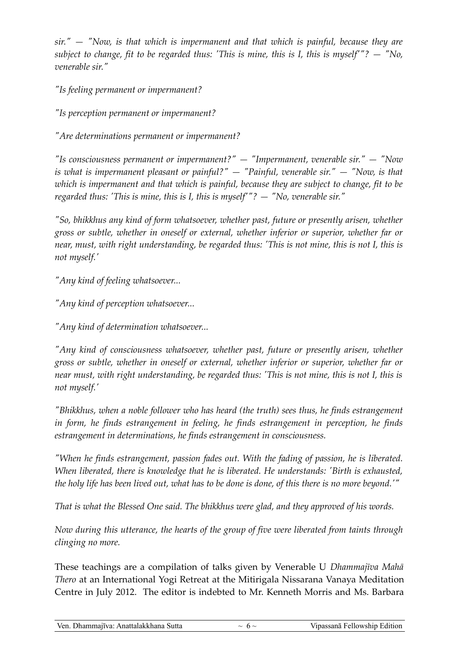*sir." — "Now, is that which is impermanent and that which is painful, because they are subject to change, fit to be regarded thus: 'This is mine, this is I, this is myself'"? — "No, venerable sir."*

*"Is feeling permanent or impermanent?*

*"Is perception permanent or impermanent?*

*"Are determinations permanent or impermanent?*

*"Is consciousness permanent or impermanent?" — "Impermanent, venerable sir." — "Now is what is impermanent pleasant or painful?" — "Painful, venerable sir." — "Now, is that which is impermanent and that which is painful, because they are subject to change, fit to be regarded thus: 'This is mine, this is I, this is myself'"? — "No, venerable sir."*

*"So, bhikkhus any kind of form whatsoever, whether past, future or presently arisen, whether gross or subtle, whether in oneself or external, whether inferior or superior, whether far or near, must, with right understanding, be regarded thus: 'This is not mine, this is not I, this is not myself.'*

*"Any kind of feeling whatsoever...*

*"Any kind of perception whatsoever...*

*"Any kind of determination whatsoever...*

*"Any kind of consciousness whatsoever, whether past, future or presently arisen, whether gross or subtle, whether in oneself or external, whether inferior or superior, whether far or near must, with right understanding, be regarded thus: 'This is not mine, this is not I, this is not myself.'*

*"Bhikkhus, when a noble follower who has heard (the truth) sees thus, he finds estrangement in form, he finds estrangement in feeling, he finds estrangement in perception, he finds estrangement in determinations, he finds estrangement in consciousness.*

*"When he finds estrangement, passion fades out. With the fading of passion, he is liberated. When liberated, there is knowledge that he is liberated. He understands: 'Birth is exhausted, the holy life has been lived out, what has to be done is done, of this there is no more beyond.'"*

*That is what the Blessed One said. The bhikkhus were glad, and they approved of his words.*

*Now during this utterance, the hearts of the group of five were liberated from taints through clinging no more.*

These teachings are a compilation of talks given by Venerable U *Dhammajīva Mahā Thero* at an International Yogi Retreat at the Mitirigala Nissarana Vanaya Meditation Centre in July 2012. The editor is indebted to Mr. Kenneth Morris and Ms. Barbara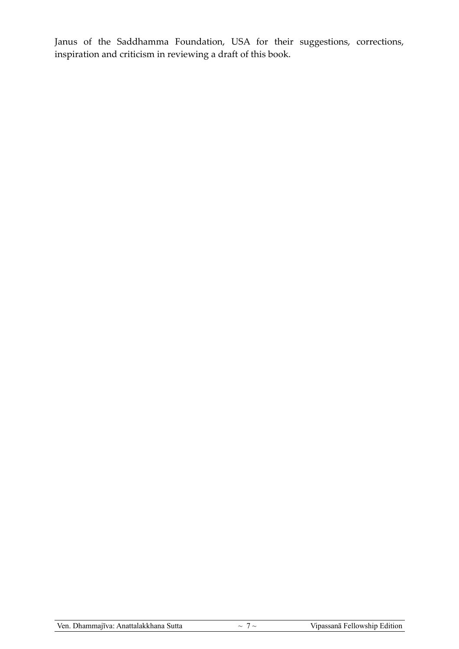Janus of the Saddhamma Foundation, USA for their suggestions, corrections, inspiration and criticism in reviewing a draft of this book.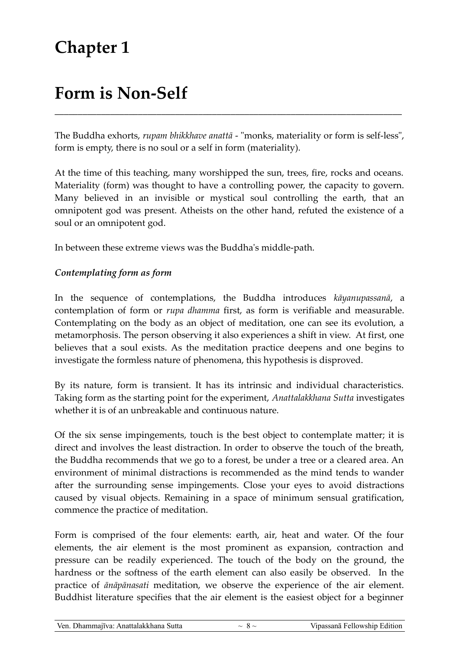## **Chapter 1**

## **Form is Non-Self**

The Buddha exhorts, *rupam bhikkhave anattā* - "monks, materiality or form is self-less", form is empty, there is no soul or a self in form (materiality).

\_\_\_\_\_\_\_\_\_\_\_\_\_\_\_\_\_\_\_\_\_\_\_\_\_\_\_\_\_\_\_\_\_\_\_\_\_\_\_\_\_\_\_\_\_\_\_\_\_\_\_\_\_\_\_\_\_\_\_\_\_\_\_\_\_\_\_\_\_\_\_\_\_\_\_

At the time of this teaching, many worshipped the sun, trees, fire, rocks and oceans. Materiality (form) was thought to have a controlling power, the capacity to govern. Many believed in an invisible or mystical soul controlling the earth, that an omnipotent god was present. Atheists on the other hand, refuted the existence of a soul or an omnipotent god.

In between these extreme views was the Buddha's middle-path.

#### *Contemplating form as form*

In the sequence of contemplations, the Buddha introduces *kāyanupassanā*, a contemplation of form or *rupa dhamma* first, as form is verifiable and measurable. Contemplating on the body as an object of meditation, one can see its evolution, a metamorphosis. The person observing it also experiences a shift in view. At first, one believes that a soul exists. As the meditation practice deepens and one begins to investigate the formless nature of phenomena, this hypothesis is disproved.

By its nature, form is transient. It has its intrinsic and individual characteristics. Taking form as the starting point for the experiment, *Anattalakkhana Sutta* investigates whether it is of an unbreakable and continuous nature.

Of the six sense impingements, touch is the best object to contemplate matter; it is direct and involves the least distraction. In order to observe the touch of the breath, the Buddha recommends that we go to a forest, be under a tree or a cleared area. An environment of minimal distractions is recommended as the mind tends to wander after the surrounding sense impingements. Close your eyes to avoid distractions caused by visual objects. Remaining in a space of minimum sensual gratification, commence the practice of meditation.

Form is comprised of the four elements: earth, air, heat and water. Of the four elements, the air element is the most prominent as expansion, contraction and pressure can be readily experienced. The touch of the body on the ground, the hardness or the softness of the earth element can also easily be observed. In the practice of *ānāpānasati* meditation, we observe the experience of the air element. Buddhist literature specifies that the air element is the easiest object for a beginner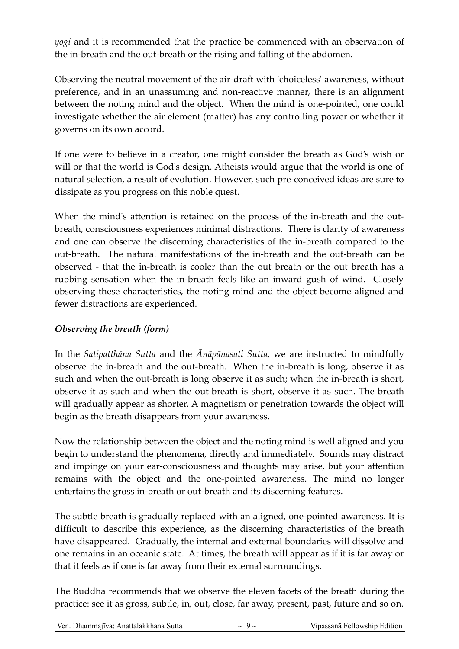*yogi* and it is recommended that the practice be commenced with an observation of the in-breath and the out-breath or the rising and falling of the abdomen.

Observing the neutral movement of the air-draft with 'choiceless' awareness, without preference, and in an unassuming and non-reactive manner, there is an alignment between the noting mind and the object. When the mind is one-pointed, one could investigate whether the air element (matter) has any controlling power or whether it governs on its own accord.

If one were to believe in a creator, one might consider the breath as God's wish or will or that the world is God's design. Atheists would argue that the world is one of natural selection, a result of evolution. However, such pre-conceived ideas are sure to dissipate as you progress on this noble quest.

When the mind's attention is retained on the process of the in-breath and the outbreath, consciousness experiences minimal distractions. There is clarity of awareness and one can observe the discerning characteristics of the in-breath compared to the out-breath. The natural manifestations of the in-breath and the out-breath can be observed - that the in-breath is cooler than the out breath or the out breath has a rubbing sensation when the in-breath feels like an inward gush of wind. Closely observing these characteristics, the noting mind and the object become aligned and fewer distractions are experienced.

#### *Observing the breath (form)*

In the *Satipatthāna Sutta* and the *Ānāpānasati Sutta*, we are instructed to mindfully observe the in-breath and the out-breath. When the in-breath is long, observe it as such and when the out-breath is long observe it as such; when the in-breath is short, observe it as such and when the out-breath is short, observe it as such. The breath will gradually appear as shorter. A magnetism or penetration towards the object will begin as the breath disappears from your awareness.

Now the relationship between the object and the noting mind is well aligned and you begin to understand the phenomena, directly and immediately. Sounds may distract and impinge on your ear-consciousness and thoughts may arise, but your attention remains with the object and the one-pointed awareness. The mind no longer entertains the gross in-breath or out-breath and its discerning features.

The subtle breath is gradually replaced with an aligned, one-pointed awareness. It is difficult to describe this experience, as the discerning characteristics of the breath have disappeared. Gradually, the internal and external boundaries will dissolve and one remains in an oceanic state. At times, the breath will appear as if it is far away or that it feels as if one is far away from their external surroundings.

The Buddha recommends that we observe the eleven facets of the breath during the practice: see it as gross, subtle, in, out, close, far away, present, past, future and so on.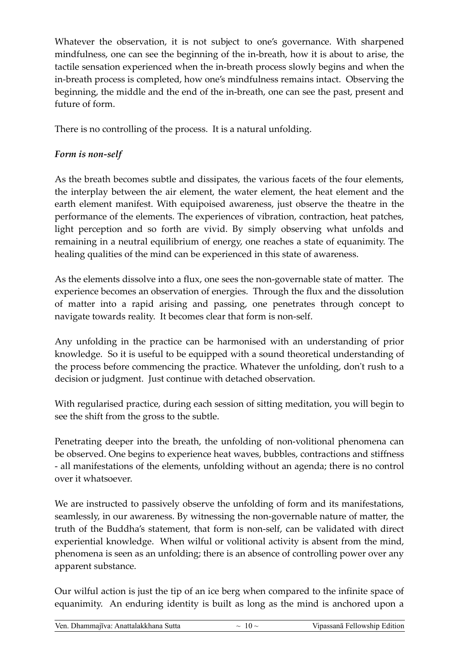Whatever the observation, it is not subject to one's governance. With sharpened mindfulness, one can see the beginning of the in-breath, how it is about to arise, the tactile sensation experienced when the in-breath process slowly begins and when the in-breath process is completed, how one's mindfulness remains intact. Observing the beginning, the middle and the end of the in-breath, one can see the past, present and future of form.

There is no controlling of the process. It is a natural unfolding.

#### *Form is non-self*

As the breath becomes subtle and dissipates, the various facets of the four elements, the interplay between the air element, the water element, the heat element and the earth element manifest. With equipoised awareness, just observe the theatre in the performance of the elements. The experiences of vibration, contraction, heat patches, light perception and so forth are vivid. By simply observing what unfolds and remaining in a neutral equilibrium of energy, one reaches a state of equanimity. The healing qualities of the mind can be experienced in this state of awareness.

As the elements dissolve into a flux, one sees the non-governable state of matter. The experience becomes an observation of energies. Through the flux and the dissolution of matter into a rapid arising and passing, one penetrates through concept to navigate towards reality. It becomes clear that form is non-self.

Any unfolding in the practice can be harmonised with an understanding of prior knowledge. So it is useful to be equipped with a sound theoretical understanding of the process before commencing the practice. Whatever the unfolding, don't rush to a decision or judgment. Just continue with detached observation.

With regularised practice, during each session of sitting meditation, you will begin to see the shift from the gross to the subtle.

Penetrating deeper into the breath, the unfolding of non-volitional phenomena can be observed. One begins to experience heat waves, bubbles, contractions and stiffness - all manifestations of the elements, unfolding without an agenda; there is no control over it whatsoever.

We are instructed to passively observe the unfolding of form and its manifestations, seamlessly, in our awareness. By witnessing the non-governable nature of matter, the truth of the Buddha's statement, that form is non-self, can be validated with direct experiential knowledge. When wilful or volitional activity is absent from the mind, phenomena is seen as an unfolding; there is an absence of controlling power over any apparent substance.

Our wilful action is just the tip of an ice berg when compared to the infinite space of equanimity. An enduring identity is built as long as the mind is anchored upon a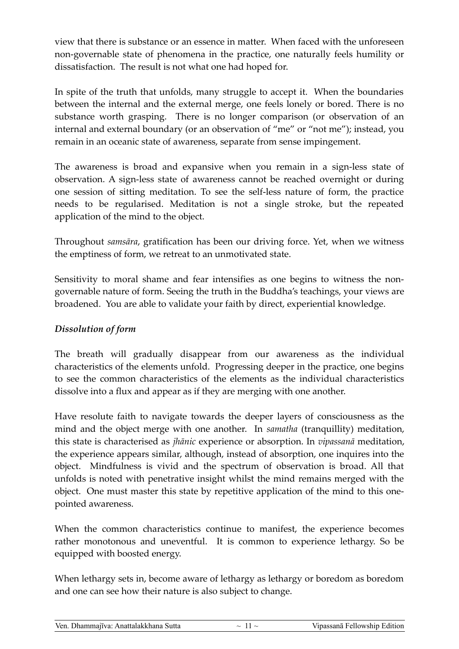view that there is substance or an essence in matter. When faced with the unforeseen non-governable state of phenomena in the practice, one naturally feels humility or dissatisfaction. The result is not what one had hoped for.

In spite of the truth that unfolds, many struggle to accept it. When the boundaries between the internal and the external merge, one feels lonely or bored. There is no substance worth grasping. There is no longer comparison (or observation of an internal and external boundary (or an observation of "me" or "not me"); instead, you remain in an oceanic state of awareness, separate from sense impingement.

The awareness is broad and expansive when you remain in a sign-less state of observation. A sign-less state of awareness cannot be reached overnight or during one session of sitting meditation. To see the self-less nature of form, the practice needs to be regularised. Meditation is not a single stroke, but the repeated application of the mind to the object.

Throughout *samsāra*, gratification has been our driving force. Yet, when we witness the emptiness of form, we retreat to an unmotivated state.

Sensitivity to moral shame and fear intensifies as one begins to witness the nongovernable nature of form. Seeing the truth in the Buddha's teachings, your views are broadened. You are able to validate your faith by direct, experiential knowledge.

#### *Dissolution of form*

The breath will gradually disappear from our awareness as the individual characteristics of the elements unfold. Progressing deeper in the practice, one begins to see the common characteristics of the elements as the individual characteristics dissolve into a flux and appear as if they are merging with one another.

Have resolute faith to navigate towards the deeper layers of consciousness as the mind and the object merge with one another. In *samatha* (tranquillity) meditation, this state is characterised as *jhānic* experience or absorption. In *vipassanā* meditation, the experience appears similar, although, instead of absorption, one inquires into the object. Mindfulness is vivid and the spectrum of observation is broad. All that unfolds is noted with penetrative insight whilst the mind remains merged with the object. One must master this state by repetitive application of the mind to this onepointed awareness.

When the common characteristics continue to manifest, the experience becomes rather monotonous and uneventful. It is common to experience lethargy. So be equipped with boosted energy.

When lethargy sets in, become aware of lethargy as lethargy or boredom as boredom and one can see how their nature is also subject to change.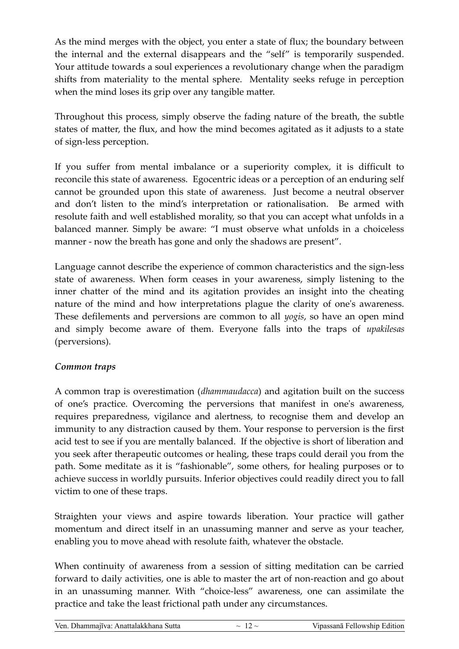As the mind merges with the object, you enter a state of flux; the boundary between the internal and the external disappears and the "self" is temporarily suspended. Your attitude towards a soul experiences a revolutionary change when the paradigm shifts from materiality to the mental sphere. Mentality seeks refuge in perception when the mind loses its grip over any tangible matter.

Throughout this process, simply observe the fading nature of the breath, the subtle states of matter, the flux, and how the mind becomes agitated as it adjusts to a state of sign-less perception.

If you suffer from mental imbalance or a superiority complex, it is difficult to reconcile this state of awareness. Egocentric ideas or a perception of an enduring self cannot be grounded upon this state of awareness. Just become a neutral observer and don't listen to the mind's interpretation or rationalisation. Be armed with resolute faith and well established morality, so that you can accept what unfolds in a balanced manner. Simply be aware: "I must observe what unfolds in a choiceless manner - now the breath has gone and only the shadows are present".

Language cannot describe the experience of common characteristics and the sign-less state of awareness. When form ceases in your awareness, simply listening to the inner chatter of the mind and its agitation provides an insight into the cheating nature of the mind and how interpretations plague the clarity of one's awareness. These defilements and perversions are common to all *yogis*, so have an open mind and simply become aware of them. Everyone falls into the traps of *upakilesas* (perversions).

#### *Common traps*

A common trap is overestimation (*dhammaudacca*) and agitation built on the success of one's practice. Overcoming the perversions that manifest in one's awareness, requires preparedness, vigilance and alertness, to recognise them and develop an immunity to any distraction caused by them. Your response to perversion is the first acid test to see if you are mentally balanced. If the objective is short of liberation and you seek after therapeutic outcomes or healing, these traps could derail you from the path. Some meditate as it is "fashionable", some others, for healing purposes or to achieve success in worldly pursuits. Inferior objectives could readily direct you to fall victim to one of these traps.

Straighten your views and aspire towards liberation. Your practice will gather momentum and direct itself in an unassuming manner and serve as your teacher, enabling you to move ahead with resolute faith, whatever the obstacle.

When continuity of awareness from a session of sitting meditation can be carried forward to daily activities, one is able to master the art of non-reaction and go about in an unassuming manner. With "choice-less" awareness, one can assimilate the practice and take the least frictional path under any circumstances.

| Ven. Dhammajīva: Anattalakkhana Sutta |  |
|---------------------------------------|--|
|---------------------------------------|--|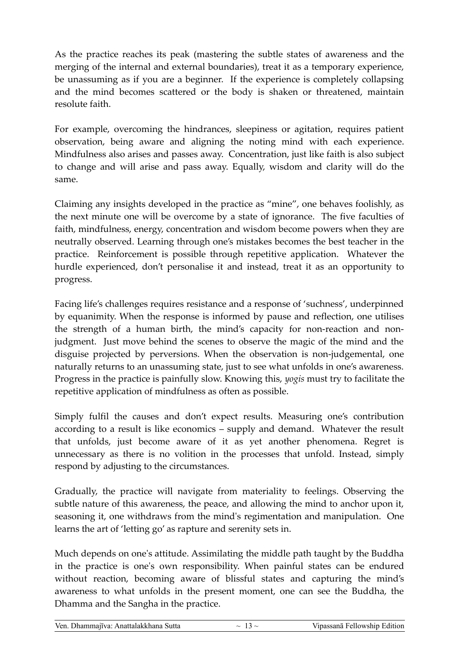As the practice reaches its peak (mastering the subtle states of awareness and the merging of the internal and external boundaries), treat it as a temporary experience, be unassuming as if you are a beginner. If the experience is completely collapsing and the mind becomes scattered or the body is shaken or threatened, maintain resolute faith.

For example, overcoming the hindrances, sleepiness or agitation, requires patient observation, being aware and aligning the noting mind with each experience. Mindfulness also arises and passes away. Concentration, just like faith is also subject to change and will arise and pass away. Equally, wisdom and clarity will do the same.

Claiming any insights developed in the practice as "mine", one behaves foolishly, as the next minute one will be overcome by a state of ignorance. The five faculties of faith, mindfulness, energy, concentration and wisdom become powers when they are neutrally observed. Learning through one's mistakes becomes the best teacher in the practice. Reinforcement is possible through repetitive application. Whatever the hurdle experienced, don't personalise it and instead, treat it as an opportunity to progress.

Facing life's challenges requires resistance and a response of 'suchness', underpinned by equanimity. When the response is informed by pause and reflection, one utilises the strength of a human birth, the mind's capacity for non-reaction and nonjudgment. Just move behind the scenes to observe the magic of the mind and the disguise projected by perversions. When the observation is non-judgemental, one naturally returns to an unassuming state, just to see what unfolds in one's awareness. Progress in the practice is painfully slow. Knowing this, *yogis* must try to facilitate the repetitive application of mindfulness as often as possible.

Simply fulfil the causes and don't expect results. Measuring one's contribution according to a result is like economics – supply and demand. Whatever the result that unfolds, just become aware of it as yet another phenomena. Regret is unnecessary as there is no volition in the processes that unfold. Instead, simply respond by adjusting to the circumstances.

Gradually, the practice will navigate from materiality to feelings. Observing the subtle nature of this awareness, the peace, and allowing the mind to anchor upon it, seasoning it, one withdraws from the mind's regimentation and manipulation. One learns the art of 'letting go' as rapture and serenity sets in.

Much depends on one's attitude. Assimilating the middle path taught by the Buddha in the practice is one's own responsibility. When painful states can be endured without reaction, becoming aware of blissful states and capturing the mind's awareness to what unfolds in the present moment, one can see the Buddha, the Dhamma and the Sangha in the practice.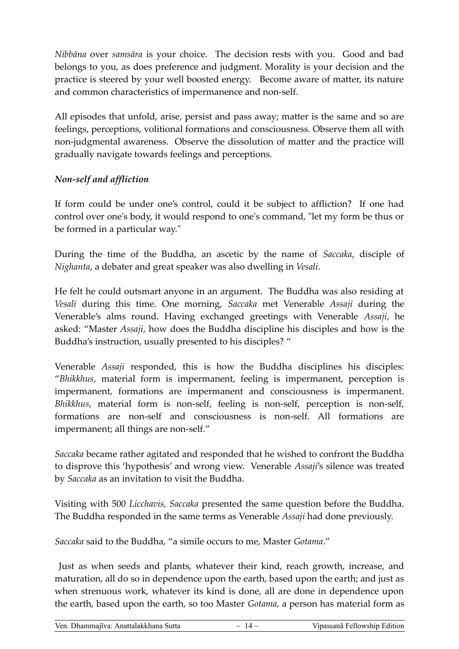*Nibbāna* over *samsāra* is your choice. The decision rests with you. Good and bad belongs to you, as does preference and judgment. Morality is your decision and the practice is steered by your well boosted energy. Become aware of matter, its nature and common characteristics of impermanence and non-self.

All episodes that unfold, arise, persist and pass away; matter is the same and so are feelings, perceptions, volitional formations and consciousness. Observe them all with non-judgmental awareness. Observe the dissolution of matter and the practice will gradually navigate towards feelings and perceptions.

#### *Non-self and affliction*

If form could be under one's control, could it be subject to affliction? If one had control over one's body, it would respond to one's command, "let my form be thus or be formed in a particular way."

During the time of the Buddha, an ascetic by the name of *Saccaka*, disciple of *Nighanta*, a debater and great speaker was also dwelling in *Vesali*.

He felt he could outsmart anyone in an argument. The Buddha was also residing at *Vesali* during this time. One morning, *Saccaka* met Venerable *Assaji* during the Venerable's alms round. Having exchanged greetings with Venerable *Assaji*, he asked: "Master *Assaji*, how does the Buddha discipline his disciples and how is the Buddha's instruction, usually presented to his disciples? "

Venerable *Assaji* responded, this is how the Buddha disciplines his disciples: "*Bhikkhus*, material form is impermanent, feeling is impermanent, perception is impermanent, formations are impermanent and consciousness is impermanent. *Bhikkhus*, material form is non-self, feeling is non-self, perception is non-self, formations are non-self and consciousness is non-self. All formations are impermanent; all things are non-self."

*Saccaka* became rather agitated and responded that he wished to confront the Buddha to disprove this 'hypothesis' and wrong view. Venerable *Assaji*'s silence was treated by *Saccaka* as an invitation to visit the Buddha.

Visiting with 500 *Licchavis, Saccaka* presented the same question before the Buddha. The Buddha responded in the same terms as Venerable *Assaji* had done previously.

*Saccaka* said to the Buddha, "a simile occurs to me, Master *Gotama*."

 Just as when seeds and plants, whatever their kind, reach growth, increase, and maturation, all do so in dependence upon the earth, based upon the earth; and just as when strenuous work, whatever its kind is done, all are done in dependence upon the earth, based upon the earth, so too Master *Gotama*, a person has material form as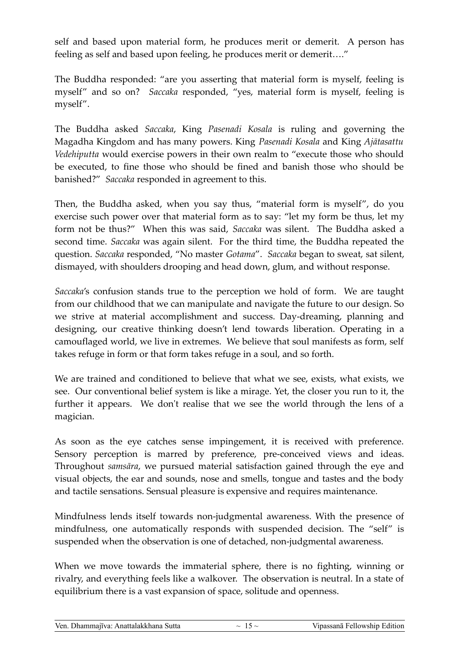self and based upon material form, he produces merit or demerit. A person has feeling as self and based upon feeling, he produces merit or demerit…."

The Buddha responded: "are you asserting that material form is myself, feeling is myself" and so on? *Saccaka* responded, "yes, material form is myself, feeling is myself".

The Buddha asked *Saccaka*, King *Pasenadi Kosala* is ruling and governing the Magadha Kingdom and has many powers. King *Pasenadi Kosala* and King *Ajātasattu Vedehiputta* would exercise powers in their own realm to "execute those who should be executed, to fine those who should be fined and banish those who should be banished?" *Saccaka* responded in agreement to this.

Then, the Buddha asked, when you say thus, "material form is myself", do you exercise such power over that material form as to say: "let my form be thus, let my form not be thus?" When this was said, *Saccaka* was silent. The Buddha asked a second time. *Saccaka* was again silent. For the third time, the Buddha repeated the question. *Saccaka* responded, "No master *Gotama*". *Saccaka* began to sweat, sat silent, dismayed, with shoulders drooping and head down, glum, and without response.

*Saccaka*'s confusion stands true to the perception we hold of form. We are taught from our childhood that we can manipulate and navigate the future to our design. So we strive at material accomplishment and success. Day-dreaming, planning and designing, our creative thinking doesn't lend towards liberation. Operating in a camouflaged world, we live in extremes. We believe that soul manifests as form, self takes refuge in form or that form takes refuge in a soul, and so forth.

We are trained and conditioned to believe that what we see, exists, what exists, we see. Our conventional belief system is like a mirage. Yet, the closer you run to it, the further it appears. We don't realise that we see the world through the lens of a magician.

As soon as the eye catches sense impingement, it is received with preference. Sensory perception is marred by preference, pre-conceived views and ideas. Throughout *samsāra*, we pursued material satisfaction gained through the eye and visual objects, the ear and sounds, nose and smells, tongue and tastes and the body and tactile sensations. Sensual pleasure is expensive and requires maintenance.

Mindfulness lends itself towards non-judgmental awareness. With the presence of mindfulness, one automatically responds with suspended decision. The "self" is suspended when the observation is one of detached, non-judgmental awareness.

When we move towards the immaterial sphere, there is no fighting, winning or rivalry, and everything feels like a walkover. The observation is neutral. In a state of equilibrium there is a vast expansion of space, solitude and openness.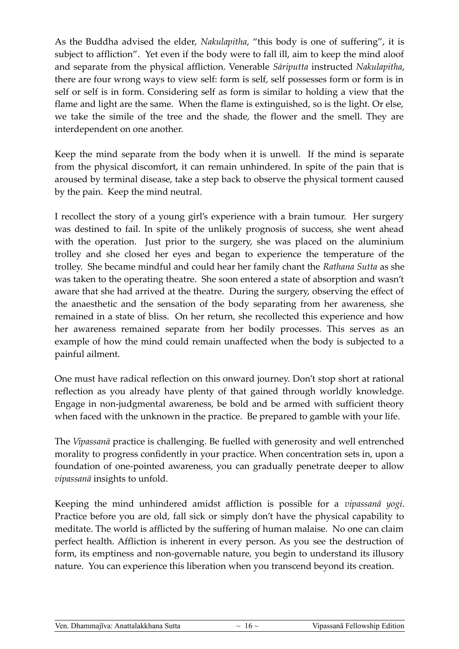As the Buddha advised the elder, *Nakulapitha*, "this body is one of suffering", it is subject to affliction". Yet even if the body were to fall ill, aim to keep the mind aloof and separate from the physical affliction. Venerable *Sāriputta* instructed *Nakulapitha*, there are four wrong ways to view self: form is self, self possesses form or form is in self or self is in form. Considering self as form is similar to holding a view that the flame and light are the same. When the flame is extinguished, so is the light. Or else, we take the simile of the tree and the shade, the flower and the smell. They are interdependent on one another.

Keep the mind separate from the body when it is unwell. If the mind is separate from the physical discomfort, it can remain unhindered. In spite of the pain that is aroused by terminal disease, take a step back to observe the physical torment caused by the pain. Keep the mind neutral.

I recollect the story of a young girl's experience with a brain tumour. Her surgery was destined to fail. In spite of the unlikely prognosis of success, she went ahead with the operation. Just prior to the surgery, she was placed on the aluminium trolley and she closed her eyes and began to experience the temperature of the trolley. She became mindful and could hear her family chant the *Rathana Sutta* as she was taken to the operating theatre. She soon entered a state of absorption and wasn't aware that she had arrived at the theatre. During the surgery, observing the effect of the anaesthetic and the sensation of the body separating from her awareness, she remained in a state of bliss. On her return, she recollected this experience and how her awareness remained separate from her bodily processes. This serves as an example of how the mind could remain unaffected when the body is subjected to a painful ailment.

One must have radical reflection on this onward journey. Don't stop short at rational reflection as you already have plenty of that gained through worldly knowledge. Engage in non-judgmental awareness, be bold and be armed with sufficient theory when faced with the unknown in the practice. Be prepared to gamble with your life.

The *Vipassanā* practice is challenging. Be fuelled with generosity and well entrenched morality to progress confidently in your practice. When concentration sets in, upon a foundation of one-pointed awareness, you can gradually penetrate deeper to allow *vipassanā* insights to unfold.

Keeping the mind unhindered amidst affliction is possible for a *vipassanā yogi*. Practice before you are old, fall sick or simply don't have the physical capability to meditate. The world is afflicted by the suffering of human malaise. No one can claim perfect health. Affliction is inherent in every person. As you see the destruction of form, its emptiness and non-governable nature, you begin to understand its illusory nature. You can experience this liberation when you transcend beyond its creation.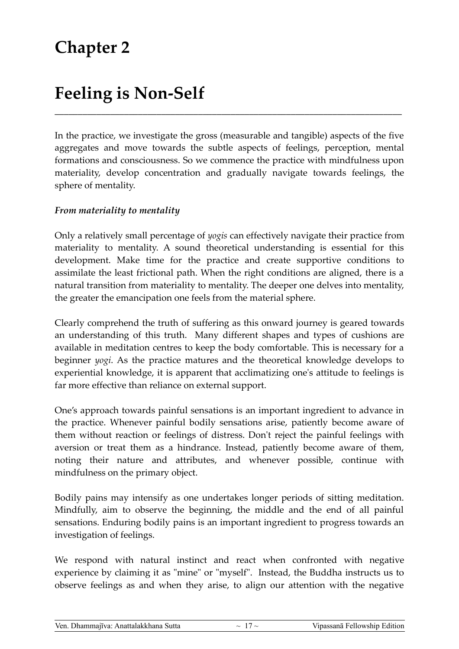## **Feeling is Non-Self**

In the practice, we investigate the gross (measurable and tangible) aspects of the five aggregates and move towards the subtle aspects of feelings, perception, mental formations and consciousness. So we commence the practice with mindfulness upon materiality, develop concentration and gradually navigate towards feelings, the sphere of mentality.

\_\_\_\_\_\_\_\_\_\_\_\_\_\_\_\_\_\_\_\_\_\_\_\_\_\_\_\_\_\_\_\_\_\_\_\_\_\_\_\_\_\_\_\_\_\_\_\_\_\_\_\_\_\_\_\_\_\_\_\_\_\_\_\_\_\_\_\_\_\_\_\_\_\_\_

#### *From materiality to mentality*

Only a relatively small percentage of *yogis* can effectively navigate their practice from materiality to mentality. A sound theoretical understanding is essential for this development. Make time for the practice and create supportive conditions to assimilate the least frictional path. When the right conditions are aligned, there is a natural transition from materiality to mentality. The deeper one delves into mentality, the greater the emancipation one feels from the material sphere.

Clearly comprehend the truth of suffering as this onward journey is geared towards an understanding of this truth. Many different shapes and types of cushions are available in meditation centres to keep the body comfortable. This is necessary for a beginner *yogi*. As the practice matures and the theoretical knowledge develops to experiential knowledge, it is apparent that acclimatizing one's attitude to feelings is far more effective than reliance on external support.

One's approach towards painful sensations is an important ingredient to advance in the practice. Whenever painful bodily sensations arise, patiently become aware of them without reaction or feelings of distress. Don't reject the painful feelings with aversion or treat them as a hindrance. Instead, patiently become aware of them, noting their nature and attributes, and whenever possible, continue with mindfulness on the primary object.

Bodily pains may intensify as one undertakes longer periods of sitting meditation. Mindfully, aim to observe the beginning, the middle and the end of all painful sensations. Enduring bodily pains is an important ingredient to progress towards an investigation of feelings.

We respond with natural instinct and react when confronted with negative experience by claiming it as "mine" or "myself". Instead, the Buddha instructs us to observe feelings as and when they arise, to align our attention with the negative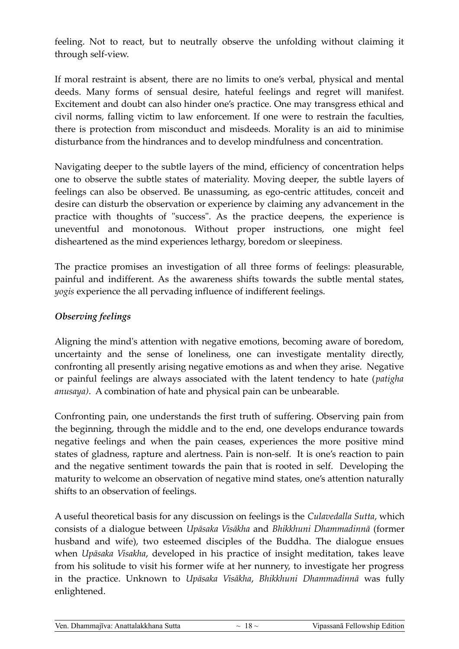feeling. Not to react, but to neutrally observe the unfolding without claiming it through self-view.

If moral restraint is absent, there are no limits to one's verbal, physical and mental deeds. Many forms of sensual desire, hateful feelings and regret will manifest. Excitement and doubt can also hinder one's practice. One may transgress ethical and civil norms, falling victim to law enforcement. If one were to restrain the faculties, there is protection from misconduct and misdeeds. Morality is an aid to minimise disturbance from the hindrances and to develop mindfulness and concentration.

Navigating deeper to the subtle layers of the mind, efficiency of concentration helps one to observe the subtle states of materiality. Moving deeper, the subtle layers of feelings can also be observed. Be unassuming, as ego-centric attitudes, conceit and desire can disturb the observation or experience by claiming any advancement in the practice with thoughts of "success". As the practice deepens, the experience is uneventful and monotonous. Without proper instructions, one might feel disheartened as the mind experiences lethargy, boredom or sleepiness.

The practice promises an investigation of all three forms of feelings: pleasurable, painful and indifferent. As the awareness shifts towards the subtle mental states, *yogis* experience the all pervading influence of indifferent feelings.

#### *Observing feelings*

Aligning the mind's attention with negative emotions, becoming aware of boredom, uncertainty and the sense of loneliness, one can investigate mentality directly, confronting all presently arising negative emotions as and when they arise. Negative or painful feelings are always associated with the latent tendency to hate (*patigha anusaya)*. A combination of hate and physical pain can be unbearable.

Confronting pain, one understands the first truth of suffering. Observing pain from the beginning, through the middle and to the end, one develops endurance towards negative feelings and when the pain ceases, experiences the more positive mind states of gladness, rapture and alertness. Pain is non-self. It is one's reaction to pain and the negative sentiment towards the pain that is rooted in self. Developing the maturity to welcome an observation of negative mind states, one's attention naturally shifts to an observation of feelings.

A useful theoretical basis for any discussion on feelings is the *Culavedalla Sutta*, which consists of a dialogue between *Upāsaka Visākha* and *Bhikkhuni Dhammadinnā* (former husband and wife), two esteemed disciples of the Buddha. The dialogue ensues when *Upāsaka Visakha*, developed in his practice of insight meditation, takes leave from his solitude to visit his former wife at her nunnery, to investigate her progress in the practice. Unknown to *Upāsaka Visākha*, *Bhikkhuni Dhammadinnā* was fully enlightened.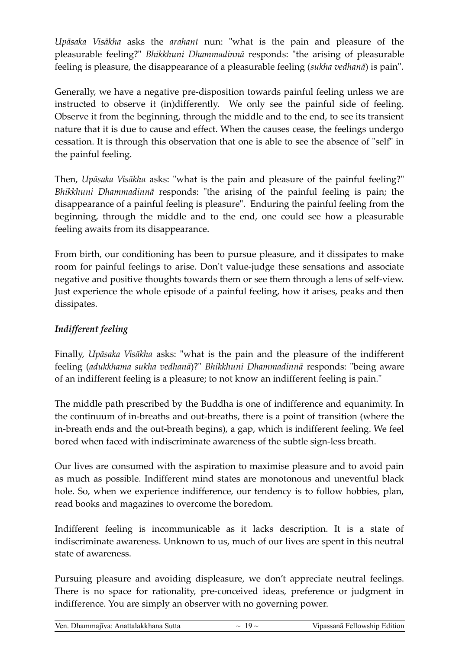*Upāsaka Visākha* asks the *arahant* nun: "what is the pain and pleasure of the pleasurable feeling?" *Bhikkhuni Dhammadinnā* responds: "the arising of pleasurable feeling is pleasure, the disappearance of a pleasurable feeling (*sukha vedhanā*) is pain".

Generally, we have a negative pre-disposition towards painful feeling unless we are instructed to observe it (in)differently. We only see the painful side of feeling. Observe it from the beginning, through the middle and to the end, to see its transient nature that it is due to cause and effect. When the causes cease, the feelings undergo cessation. It is through this observation that one is able to see the absence of "self" in the painful feeling.

Then, *Upāsaka Visākha* asks: "what is the pain and pleasure of the painful feeling?" *Bhikkhuni Dhammadinnā* responds: "the arising of the painful feeling is pain; the disappearance of a painful feeling is pleasure". Enduring the painful feeling from the beginning, through the middle and to the end, one could see how a pleasurable feeling awaits from its disappearance.

From birth, our conditioning has been to pursue pleasure, and it dissipates to make room for painful feelings to arise. Don't value-judge these sensations and associate negative and positive thoughts towards them or see them through a lens of self-view. Just experience the whole episode of a painful feeling, how it arises, peaks and then dissipates.

#### *Indifferent feeling*

Finally, *Upāsaka Visākha* asks: "what is the pain and the pleasure of the indifferent feeling (*adukkhama sukha vedhanā*)?" *Bhikkhuni Dhammadinnā* responds: "being aware of an indifferent feeling is a pleasure; to not know an indifferent feeling is pain."

The middle path prescribed by the Buddha is one of indifference and equanimity. In the continuum of in-breaths and out-breaths, there is a point of transition (where the in-breath ends and the out-breath begins), a gap, which is indifferent feeling. We feel bored when faced with indiscriminate awareness of the subtle sign-less breath.

Our lives are consumed with the aspiration to maximise pleasure and to avoid pain as much as possible. Indifferent mind states are monotonous and uneventful black hole. So, when we experience indifference, our tendency is to follow hobbies, plan, read books and magazines to overcome the boredom.

Indifferent feeling is incommunicable as it lacks description. It is a state of indiscriminate awareness. Unknown to us, much of our lives are spent in this neutral state of awareness.

Pursuing pleasure and avoiding displeasure, we don't appreciate neutral feelings. There is no space for rationality, pre-conceived ideas, preference or judgment in indifference. You are simply an observer with no governing power.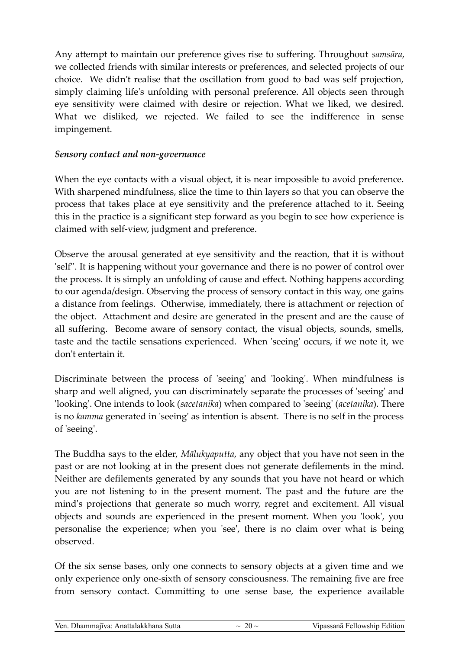Any attempt to maintain our preference gives rise to suffering. Throughout *samsāra*, we collected friends with similar interests or preferences, and selected projects of our choice. We didn't realise that the oscillation from good to bad was self projection, simply claiming life's unfolding with personal preference. All objects seen through eye sensitivity were claimed with desire or rejection. What we liked, we desired. What we disliked, we rejected. We failed to see the indifference in sense impingement.

#### *Sensory contact and non-governance*

When the eye contacts with a visual object, it is near impossible to avoid preference. With sharpened mindfulness, slice the time to thin layers so that you can observe the process that takes place at eye sensitivity and the preference attached to it. Seeing this in the practice is a significant step forward as you begin to see how experience is claimed with self-view, judgment and preference.

Observe the arousal generated at eye sensitivity and the reaction, that it is without 'self''. It is happening without your governance and there is no power of control over the process. It is simply an unfolding of cause and effect. Nothing happens according to our agenda/design. Observing the process of sensory contact in this way, one gains a distance from feelings. Otherwise, immediately, there is attachment or rejection of the object. Attachment and desire are generated in the present and are the cause of all suffering. Become aware of sensory contact, the visual objects, sounds, smells, taste and the tactile sensations experienced. When 'seeing' occurs, if we note it, we don't entertain it.

Discriminate between the process of 'seeing' and 'looking'. When mindfulness is sharp and well aligned, you can discriminately separate the processes of 'seeing' and 'looking'. One intends to look (*sacetanika*) when compared to 'seeing' (*acetanika*). There is no *kamma* generated in 'seeing' as intention is absent. There is no self in the process of 'seeing'.

The Buddha says to the elder, *Mālukyaputta*, any object that you have not seen in the past or are not looking at in the present does not generate defilements in the mind. Neither are defilements generated by any sounds that you have not heard or which you are not listening to in the present moment. The past and the future are the mind's projections that generate so much worry, regret and excitement. All visual objects and sounds are experienced in the present moment. When you 'look', you personalise the experience; when you 'see', there is no claim over what is being observed.

Of the six sense bases, only one connects to sensory objects at a given time and we only experience only one-sixth of sensory consciousness. The remaining five are free from sensory contact. Committing to one sense base, the experience available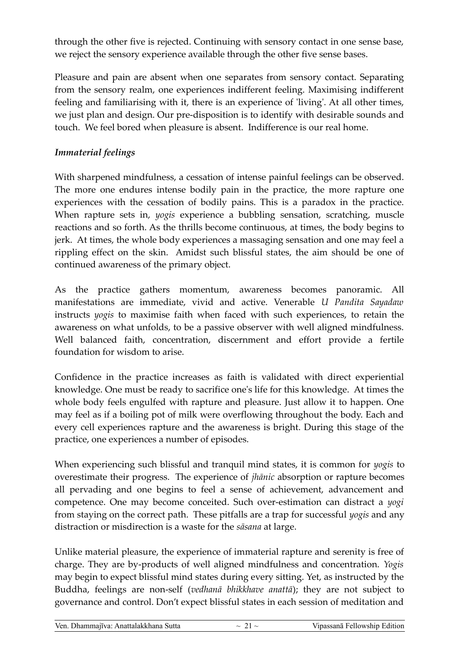through the other five is rejected. Continuing with sensory contact in one sense base, we reject the sensory experience available through the other five sense bases.

Pleasure and pain are absent when one separates from sensory contact. Separating from the sensory realm, one experiences indifferent feeling. Maximising indifferent feeling and familiarising with it, there is an experience of 'living'. At all other times, we just plan and design. Our pre-disposition is to identify with desirable sounds and touch. We feel bored when pleasure is absent. Indifference is our real home.

#### *Immaterial feelings*

With sharpened mindfulness, a cessation of intense painful feelings can be observed. The more one endures intense bodily pain in the practice, the more rapture one experiences with the cessation of bodily pains. This is a paradox in the practice. When rapture sets in, *yogis* experience a bubbling sensation, scratching, muscle reactions and so forth. As the thrills become continuous, at times, the body begins to jerk. At times, the whole body experiences a massaging sensation and one may feel a rippling effect on the skin. Amidst such blissful states, the aim should be one of continued awareness of the primary object.

As the practice gathers momentum, awareness becomes panoramic. All manifestations are immediate, vivid and active. Venerable *U Pandita Sayadaw* instructs *yogis* to maximise faith when faced with such experiences, to retain the awareness on what unfolds, to be a passive observer with well aligned mindfulness. Well balanced faith, concentration, discernment and effort provide a fertile foundation for wisdom to arise.

Confidence in the practice increases as faith is validated with direct experiential knowledge. One must be ready to sacrifice one's life for this knowledge. At times the whole body feels engulfed with rapture and pleasure. Just allow it to happen. One may feel as if a boiling pot of milk were overflowing throughout the body. Each and every cell experiences rapture and the awareness is bright. During this stage of the practice, one experiences a number of episodes.

When experiencing such blissful and tranquil mind states, it is common for *yogis* to overestimate their progress. The experience of *jhānic* absorption or rapture becomes all pervading and one begins to feel a sense of achievement, advancement and competence. One may become conceited. Such over-estimation can distract a *yogi* from staying on the correct path. These pitfalls are a trap for successful *yogis* and any distraction or misdirection is a waste for the *sāsana* at large.

Unlike material pleasure, the experience of immaterial rapture and serenity is free of charge. They are by-products of well aligned mindfulness and concentration. *Yogis* may begin to expect blissful mind states during every sitting. Yet, as instructed by the Buddha, feelings are non-self (*vedhanā bhikkhave anattā*); they are not subject to governance and control. Don't expect blissful states in each session of meditation and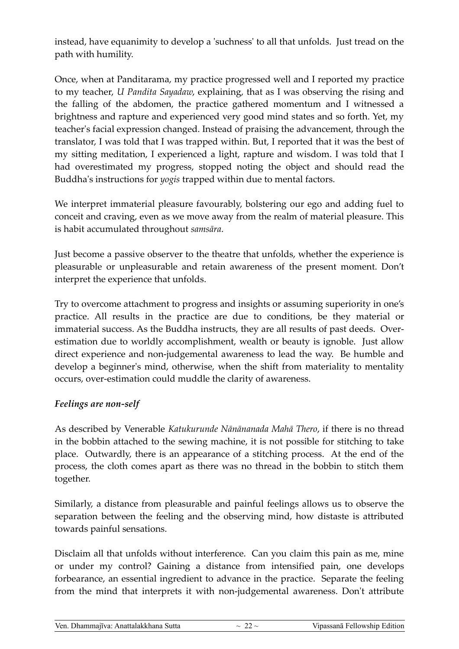instead, have equanimity to develop a 'suchness' to all that unfolds. Just tread on the path with humility.

Once, when at Panditarama, my practice progressed well and I reported my practice to my teacher, *U Pandita Sayadaw*, explaining, that as I was observing the rising and the falling of the abdomen, the practice gathered momentum and I witnessed a brightness and rapture and experienced very good mind states and so forth. Yet, my teacher's facial expression changed. Instead of praising the advancement, through the translator, I was told that I was trapped within. But, I reported that it was the best of my sitting meditation, I experienced a light, rapture and wisdom. I was told that I had overestimated my progress, stopped noting the object and should read the Buddha's instructions for *yogis* trapped within due to mental factors.

We interpret immaterial pleasure favourably, bolstering our ego and adding fuel to conceit and craving, even as we move away from the realm of material pleasure. This is habit accumulated throughout *samsāra*.

Just become a passive observer to the theatre that unfolds, whether the experience is pleasurable or unpleasurable and retain awareness of the present moment. Don't interpret the experience that unfolds.

Try to overcome attachment to progress and insights or assuming superiority in one's practice. All results in the practice are due to conditions, be they material or immaterial success. As the Buddha instructs, they are all results of past deeds. Overestimation due to worldly accomplishment, wealth or beauty is ignoble. Just allow direct experience and non-judgemental awareness to lead the way. Be humble and develop a beginner's mind, otherwise, when the shift from materiality to mentality occurs, over-estimation could muddle the clarity of awareness.

#### *Feelings are non-self*

As described by Venerable *Katukurunde Nānānanada Mahā Thero*, if there is no thread in the bobbin attached to the sewing machine, it is not possible for stitching to take place. Outwardly, there is an appearance of a stitching process. At the end of the process, the cloth comes apart as there was no thread in the bobbin to stitch them together.

Similarly, a distance from pleasurable and painful feelings allows us to observe the separation between the feeling and the observing mind, how distaste is attributed towards painful sensations.

Disclaim all that unfolds without interference. Can you claim this pain as me, mine or under my control? Gaining a distance from intensified pain, one develops forbearance, an essential ingredient to advance in the practice. Separate the feeling from the mind that interprets it with non-judgemental awareness. Don't attribute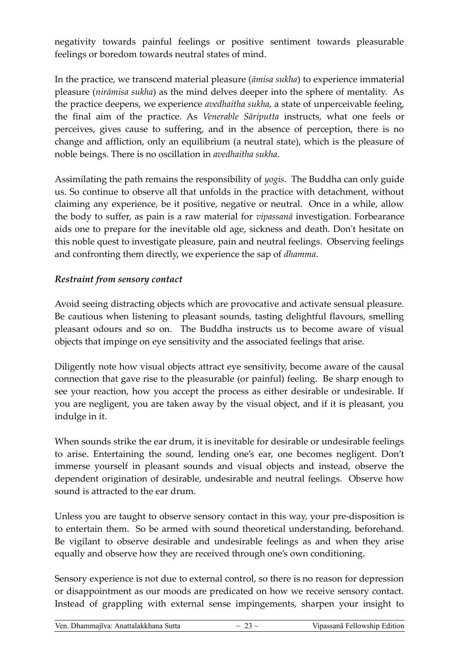negativity towards painful feelings or positive sentiment towards pleasurable feelings or boredom towards neutral states of mind.

In the practice, we transcend material pleasure (*āmisa sukha*) to experience immaterial pleasure (*nirāmisa sukha*) as the mind delves deeper into the sphere of mentality. As the practice deepens, we experience *avedhaitha sukha*, a state of unperceivable feeling, the final aim of the practice. As *Venerable Sāriputta* instructs, what one feels or perceives, gives cause to suffering, and in the absence of perception, there is no change and affliction, only an equilibrium (a neutral state), which is the pleasure of noble beings. There is no oscillation in *avedhaitha sukha*.

Assimilating the path remains the responsibility of *yogis*. The Buddha can only guide us. So continue to observe all that unfolds in the practice with detachment, without claiming any experience, be it positive, negative or neutral. Once in a while, allow the body to suffer, as pain is a raw material for *vipassanā* investigation. Forbearance aids one to prepare for the inevitable old age, sickness and death. Don't hesitate on this noble quest to investigate pleasure, pain and neutral feelings. Observing feelings and confronting them directly, we experience the sap of *dhamma*.

#### *Restraint from sensory contact*

Avoid seeing distracting objects which are provocative and activate sensual pleasure. Be cautious when listening to pleasant sounds, tasting delightful flavours, smelling pleasant odours and so on. The Buddha instructs us to become aware of visual objects that impinge on eye sensitivity and the associated feelings that arise.

Diligently note how visual objects attract eye sensitivity, become aware of the causal connection that gave rise to the pleasurable (or painful) feeling. Be sharp enough to see your reaction, how you accept the process as either desirable or undesirable. If you are negligent, you are taken away by the visual object, and if it is pleasant, you indulge in it.

When sounds strike the ear drum, it is inevitable for desirable or undesirable feelings to arise. Entertaining the sound, lending one's ear, one becomes negligent. Don't immerse yourself in pleasant sounds and visual objects and instead, observe the dependent origination of desirable, undesirable and neutral feelings. Observe how sound is attracted to the ear drum.

Unless you are taught to observe sensory contact in this way, your pre-disposition is to entertain them. So be armed with sound theoretical understanding, beforehand. Be vigilant to observe desirable and undesirable feelings as and when they arise equally and observe how they are received through one's own conditioning.

Sensory experience is not due to external control, so there is no reason for depression or disappointment as our moods are predicated on how we receive sensory contact. Instead of grappling with external sense impingements, sharpen your insight to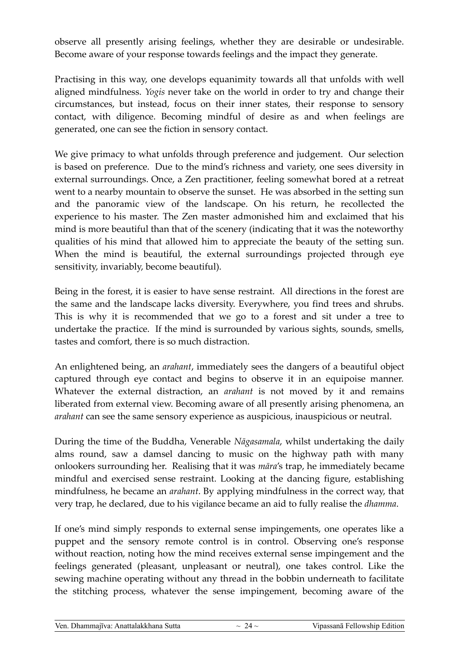observe all presently arising feelings, whether they are desirable or undesirable. Become aware of your response towards feelings and the impact they generate.

Practising in this way, one develops equanimity towards all that unfolds with well aligned mindfulness. *Yogis* never take on the world in order to try and change their circumstances, but instead, focus on their inner states, their response to sensory contact, with diligence. Becoming mindful of desire as and when feelings are generated, one can see the fiction in sensory contact.

We give primacy to what unfolds through preference and judgement. Our selection is based on preference. Due to the mind's richness and variety, one sees diversity in external surroundings. Once, a Zen practitioner, feeling somewhat bored at a retreat went to a nearby mountain to observe the sunset. He was absorbed in the setting sun and the panoramic view of the landscape. On his return, he recollected the experience to his master. The Zen master admonished him and exclaimed that his mind is more beautiful than that of the scenery (indicating that it was the noteworthy qualities of his mind that allowed him to appreciate the beauty of the setting sun. When the mind is beautiful, the external surroundings projected through eye sensitivity, invariably, become beautiful).

Being in the forest, it is easier to have sense restraint. All directions in the forest are the same and the landscape lacks diversity. Everywhere, you find trees and shrubs. This is why it is recommended that we go to a forest and sit under a tree to undertake the practice. If the mind is surrounded by various sights, sounds, smells, tastes and comfort, there is so much distraction.

An enlightened being, an *arahant*, immediately sees the dangers of a beautiful object captured through eye contact and begins to observe it in an equipoise manner. Whatever the external distraction, an *arahant* is not moved by it and remains liberated from external view. Becoming aware of all presently arising phenomena, an *arahant* can see the same sensory experience as auspicious, inauspicious or neutral.

During the time of the Buddha, Venerable *Nāgasamala*, whilst undertaking the daily alms round, saw a damsel dancing to music on the highway path with many onlookers surrounding her. Realising that it was *māra*'s trap, he immediately became mindful and exercised sense restraint. Looking at the dancing figure, establishing mindfulness, he became an *arahant*. By applying mindfulness in the correct way, that very trap, he declared, due to his vigilance became an aid to fully realise the *dhamma*.

If one's mind simply responds to external sense impingements, one operates like a puppet and the sensory remote control is in control. Observing one's response without reaction, noting how the mind receives external sense impingement and the feelings generated (pleasant, unpleasant or neutral), one takes control. Like the sewing machine operating without any thread in the bobbin underneath to facilitate the stitching process, whatever the sense impingement, becoming aware of the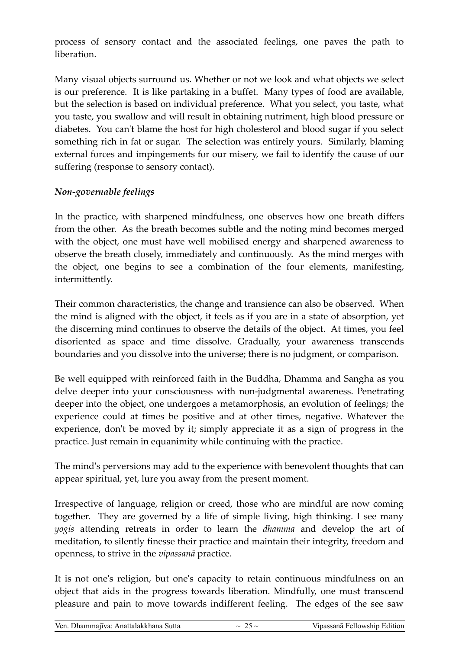process of sensory contact and the associated feelings, one paves the path to liberation.

Many visual objects surround us. Whether or not we look and what objects we select is our preference. It is like partaking in a buffet. Many types of food are available, but the selection is based on individual preference. What you select, you taste, what you taste, you swallow and will result in obtaining nutriment, high blood pressure or diabetes. You can't blame the host for high cholesterol and blood sugar if you select something rich in fat or sugar. The selection was entirely yours. Similarly, blaming external forces and impingements for our misery, we fail to identify the cause of our suffering (response to sensory contact).

#### *Non-governable feelings*

In the practice, with sharpened mindfulness, one observes how one breath differs from the other. As the breath becomes subtle and the noting mind becomes merged with the object, one must have well mobilised energy and sharpened awareness to observe the breath closely, immediately and continuously. As the mind merges with the object, one begins to see a combination of the four elements, manifesting, intermittently.

Their common characteristics, the change and transience can also be observed. When the mind is aligned with the object, it feels as if you are in a state of absorption, yet the discerning mind continues to observe the details of the object. At times, you feel disoriented as space and time dissolve. Gradually, your awareness transcends boundaries and you dissolve into the universe; there is no judgment, or comparison.

Be well equipped with reinforced faith in the Buddha, Dhamma and Sangha as you delve deeper into your consciousness with non-judgmental awareness. Penetrating deeper into the object, one undergoes a metamorphosis, an evolution of feelings; the experience could at times be positive and at other times, negative. Whatever the experience, don't be moved by it; simply appreciate it as a sign of progress in the practice. Just remain in equanimity while continuing with the practice.

The mind's perversions may add to the experience with benevolent thoughts that can appear spiritual, yet, lure you away from the present moment.

Irrespective of language, religion or creed, those who are mindful are now coming together. They are governed by a life of simple living, high thinking. I see many *yogis* attending retreats in order to learn the *dhamma* and develop the art of meditation, to silently finesse their practice and maintain their integrity, freedom and openness, to strive in the *vipassanā* practice.

It is not one's religion, but one's capacity to retain continuous mindfulness on an object that aids in the progress towards liberation. Mindfully, one must transcend pleasure and pain to move towards indifferent feeling. The edges of the see saw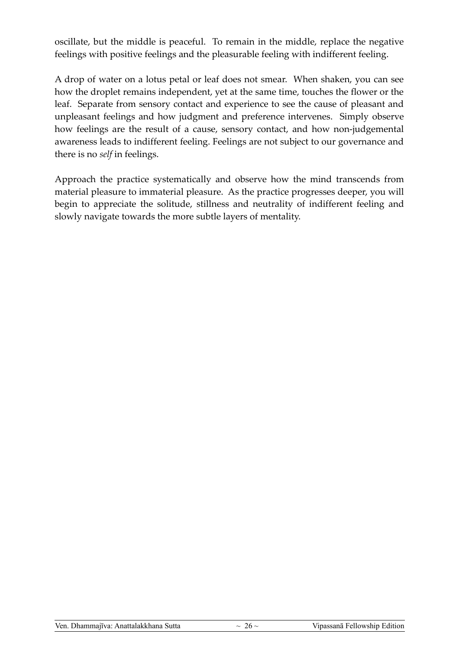oscillate, but the middle is peaceful. To remain in the middle, replace the negative feelings with positive feelings and the pleasurable feeling with indifferent feeling.

A drop of water on a lotus petal or leaf does not smear. When shaken, you can see how the droplet remains independent, yet at the same time, touches the flower or the leaf. Separate from sensory contact and experience to see the cause of pleasant and unpleasant feelings and how judgment and preference intervenes. Simply observe how feelings are the result of a cause, sensory contact, and how non-judgemental awareness leads to indifferent feeling. Feelings are not subject to our governance and there is no *self* in feelings.

Approach the practice systematically and observe how the mind transcends from material pleasure to immaterial pleasure. As the practice progresses deeper, you will begin to appreciate the solitude, stillness and neutrality of indifferent feeling and slowly navigate towards the more subtle layers of mentality.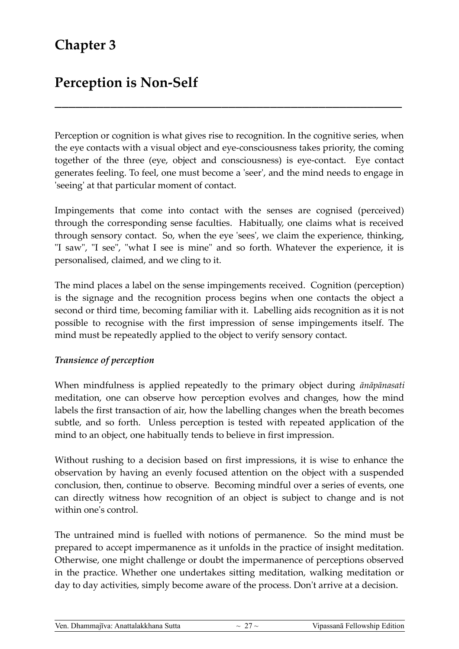### **Chapter 3**

### **Perception is Non-Self**

Perception or cognition is what gives rise to recognition. In the cognitive series, when the eye contacts with a visual object and eye-consciousness takes priority, the coming together of the three (eye, object and consciousness) is eye-contact. Eye contact generates feeling. To feel, one must become a 'seer', and the mind needs to engage in 'seeing' at that particular moment of contact.

**\_\_\_\_\_\_\_\_\_\_\_\_\_\_\_\_\_\_\_\_\_\_\_\_\_\_\_\_\_\_\_\_\_\_\_\_\_\_\_\_\_\_\_\_\_\_\_\_\_\_**

Impingements that come into contact with the senses are cognised (perceived) through the corresponding sense faculties. Habitually, one claims what is received through sensory contact. So, when the eye 'sees', we claim the experience, thinking, "I saw", "I see", "what I see is mine" and so forth. Whatever the experience, it is personalised, claimed, and we cling to it.

The mind places a label on the sense impingements received. Cognition (perception) is the signage and the recognition process begins when one contacts the object a second or third time, becoming familiar with it. Labelling aids recognition as it is not possible to recognise with the first impression of sense impingements itself. The mind must be repeatedly applied to the object to verify sensory contact.

#### *Transience of perception*

When mindfulness is applied repeatedly to the primary object during *ānāpānasati* meditation, one can observe how perception evolves and changes, how the mind labels the first transaction of air, how the labelling changes when the breath becomes subtle, and so forth. Unless perception is tested with repeated application of the mind to an object, one habitually tends to believe in first impression.

Without rushing to a decision based on first impressions, it is wise to enhance the observation by having an evenly focused attention on the object with a suspended conclusion, then, continue to observe. Becoming mindful over a series of events, one can directly witness how recognition of an object is subject to change and is not within one's control.

The untrained mind is fuelled with notions of permanence. So the mind must be prepared to accept impermanence as it unfolds in the practice of insight meditation. Otherwise, one might challenge or doubt the impermanence of perceptions observed in the practice. Whether one undertakes sitting meditation, walking meditation or day to day activities, simply become aware of the process. Don't arrive at a decision.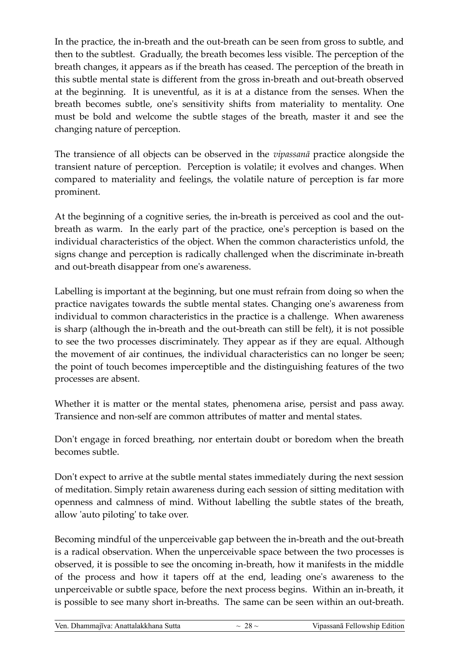In the practice, the in-breath and the out-breath can be seen from gross to subtle, and then to the subtlest. Gradually, the breath becomes less visible. The perception of the breath changes, it appears as if the breath has ceased. The perception of the breath in this subtle mental state is different from the gross in-breath and out-breath observed at the beginning. It is uneventful, as it is at a distance from the senses. When the breath becomes subtle, one's sensitivity shifts from materiality to mentality. One must be bold and welcome the subtle stages of the breath, master it and see the changing nature of perception.

The transience of all objects can be observed in the *vipassanā* practice alongside the transient nature of perception. Perception is volatile; it evolves and changes. When compared to materiality and feelings, the volatile nature of perception is far more prominent.

At the beginning of a cognitive series, the in-breath is perceived as cool and the outbreath as warm. In the early part of the practice, one's perception is based on the individual characteristics of the object. When the common characteristics unfold, the signs change and perception is radically challenged when the discriminate in-breath and out-breath disappear from one's awareness.

Labelling is important at the beginning, but one must refrain from doing so when the practice navigates towards the subtle mental states. Changing one's awareness from individual to common characteristics in the practice is a challenge. When awareness is sharp (although the in-breath and the out-breath can still be felt), it is not possible to see the two processes discriminately. They appear as if they are equal. Although the movement of air continues, the individual characteristics can no longer be seen; the point of touch becomes imperceptible and the distinguishing features of the two processes are absent.

Whether it is matter or the mental states, phenomena arise, persist and pass away. Transience and non-self are common attributes of matter and mental states.

Don't engage in forced breathing, nor entertain doubt or boredom when the breath becomes subtle.

Don't expect to arrive at the subtle mental states immediately during the next session of meditation. Simply retain awareness during each session of sitting meditation with openness and calmness of mind. Without labelling the subtle states of the breath, allow 'auto piloting' to take over.

Becoming mindful of the unperceivable gap between the in-breath and the out-breath is a radical observation. When the unperceivable space between the two processes is observed, it is possible to see the oncoming in-breath, how it manifests in the middle of the process and how it tapers off at the end, leading one's awareness to the unperceivable or subtle space, before the next process begins. Within an in-breath, it is possible to see many short in-breaths. The same can be seen within an out-breath.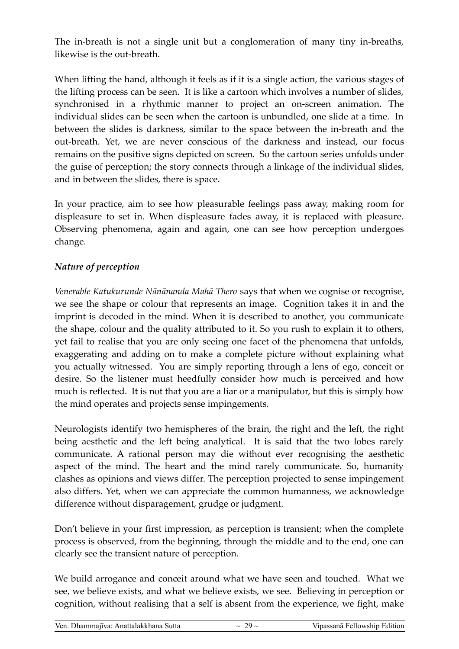The in-breath is not a single unit but a conglomeration of many tiny in-breaths, likewise is the out-breath.

When lifting the hand, although it feels as if it is a single action, the various stages of the lifting process can be seen. It is like a cartoon which involves a number of slides, synchronised in a rhythmic manner to project an on-screen animation. The individual slides can be seen when the cartoon is unbundled, one slide at a time. In between the slides is darkness, similar to the space between the in-breath and the out-breath. Yet, we are never conscious of the darkness and instead, our focus remains on the positive signs depicted on screen. So the cartoon series unfolds under the guise of perception; the story connects through a linkage of the individual slides, and in between the slides, there is space.

In your practice, aim to see how pleasurable feelings pass away, making room for displeasure to set in. When displeasure fades away, it is replaced with pleasure. Observing phenomena, again and again, one can see how perception undergoes change.

#### *Nature of perception*

*Venerable Katukurunde Nānānanda Mahā Thero* says that when we cognise or recognise, we see the shape or colour that represents an image. Cognition takes it in and the imprint is decoded in the mind. When it is described to another, you communicate the shape, colour and the quality attributed to it. So you rush to explain it to others, yet fail to realise that you are only seeing one facet of the phenomena that unfolds, exaggerating and adding on to make a complete picture without explaining what you actually witnessed. You are simply reporting through a lens of ego, conceit or desire. So the listener must heedfully consider how much is perceived and how much is reflected. It is not that you are a liar or a manipulator, but this is simply how the mind operates and projects sense impingements.

Neurologists identify two hemispheres of the brain, the right and the left, the right being aesthetic and the left being analytical. It is said that the two lobes rarely communicate. A rational person may die without ever recognising the aesthetic aspect of the mind. The heart and the mind rarely communicate. So, humanity clashes as opinions and views differ. The perception projected to sense impingement also differs. Yet, when we can appreciate the common humanness, we acknowledge difference without disparagement, grudge or judgment.

Don't believe in your first impression, as perception is transient; when the complete process is observed, from the beginning, through the middle and to the end, one can clearly see the transient nature of perception.

We build arrogance and conceit around what we have seen and touched. What we see, we believe exists, and what we believe exists, we see. Believing in perception or cognition, without realising that a self is absent from the experience, we fight, make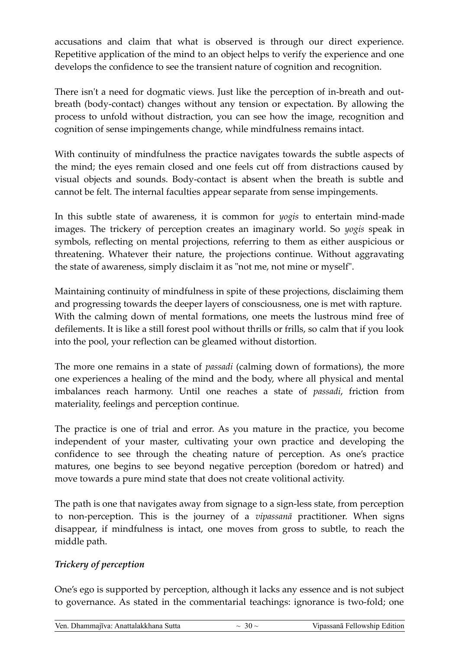accusations and claim that what is observed is through our direct experience. Repetitive application of the mind to an object helps to verify the experience and one develops the confidence to see the transient nature of cognition and recognition.

There isn't a need for dogmatic views. Just like the perception of in-breath and outbreath (body-contact) changes without any tension or expectation. By allowing the process to unfold without distraction, you can see how the image, recognition and cognition of sense impingements change, while mindfulness remains intact.

With continuity of mindfulness the practice navigates towards the subtle aspects of the mind; the eyes remain closed and one feels cut off from distractions caused by visual objects and sounds. Body-contact is absent when the breath is subtle and cannot be felt. The internal faculties appear separate from sense impingements.

In this subtle state of awareness, it is common for *yogis* to entertain mind-made images. The trickery of perception creates an imaginary world. So *yogis* speak in symbols, reflecting on mental projections, referring to them as either auspicious or threatening. Whatever their nature, the projections continue. Without aggravating the state of awareness, simply disclaim it as "not me, not mine or myself".

Maintaining continuity of mindfulness in spite of these projections, disclaiming them and progressing towards the deeper layers of consciousness, one is met with rapture. With the calming down of mental formations, one meets the lustrous mind free of defilements. It is like a still forest pool without thrills or frills, so calm that if you look into the pool, your reflection can be gleamed without distortion.

The more one remains in a state of *passadi* (calming down of formations), the more one experiences a healing of the mind and the body, where all physical and mental imbalances reach harmony. Until one reaches a state of *passadi*, friction from materiality, feelings and perception continue.

The practice is one of trial and error. As you mature in the practice, you become independent of your master, cultivating your own practice and developing the confidence to see through the cheating nature of perception. As one's practice matures, one begins to see beyond negative perception (boredom or hatred) and move towards a pure mind state that does not create volitional activity.

The path is one that navigates away from signage to a sign-less state, from perception to non-perception. This is the journey of a *vipassanā* practitioner. When signs disappear, if mindfulness is intact, one moves from gross to subtle, to reach the middle path.

#### *Trickery of perception*

One's ego is supported by perception, although it lacks any essence and is not subject to governance. As stated in the commentarial teachings: ignorance is two-fold; one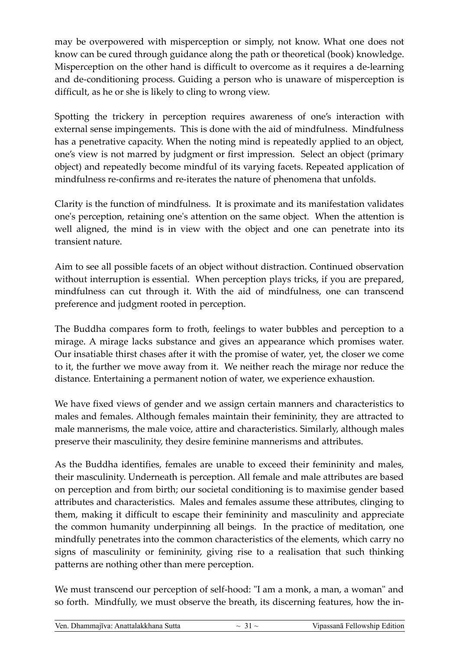may be overpowered with misperception or simply, not know. What one does not know can be cured through guidance along the path or theoretical (book) knowledge. Misperception on the other hand is difficult to overcome as it requires a de-learning and de-conditioning process. Guiding a person who is unaware of misperception is difficult, as he or she is likely to cling to wrong view.

Spotting the trickery in perception requires awareness of one's interaction with external sense impingements. This is done with the aid of mindfulness. Mindfulness has a penetrative capacity. When the noting mind is repeatedly applied to an object, one's view is not marred by judgment or first impression. Select an object (primary object) and repeatedly become mindful of its varying facets. Repeated application of mindfulness re-confirms and re-iterates the nature of phenomena that unfolds.

Clarity is the function of mindfulness. It is proximate and its manifestation validates one's perception, retaining one's attention on the same object. When the attention is well aligned, the mind is in view with the object and one can penetrate into its transient nature.

Aim to see all possible facets of an object without distraction. Continued observation without interruption is essential. When perception plays tricks, if you are prepared, mindfulness can cut through it. With the aid of mindfulness, one can transcend preference and judgment rooted in perception.

The Buddha compares form to froth, feelings to water bubbles and perception to a mirage. A mirage lacks substance and gives an appearance which promises water. Our insatiable thirst chases after it with the promise of water, yet, the closer we come to it, the further we move away from it. We neither reach the mirage nor reduce the distance. Entertaining a permanent notion of water, we experience exhaustion.

We have fixed views of gender and we assign certain manners and characteristics to males and females. Although females maintain their femininity, they are attracted to male mannerisms, the male voice, attire and characteristics. Similarly, although males preserve their masculinity, they desire feminine mannerisms and attributes.

As the Buddha identifies, females are unable to exceed their femininity and males, their masculinity. Underneath is perception. All female and male attributes are based on perception and from birth; our societal conditioning is to maximise gender based attributes and characteristics. Males and females assume these attributes, clinging to them, making it difficult to escape their femininity and masculinity and appreciate the common humanity underpinning all beings. In the practice of meditation, one mindfully penetrates into the common characteristics of the elements, which carry no signs of masculinity or femininity, giving rise to a realisation that such thinking patterns are nothing other than mere perception.

We must transcend our perception of self-hood: "I am a monk, a man, a woman" and so forth. Mindfully, we must observe the breath, its discerning features, how the in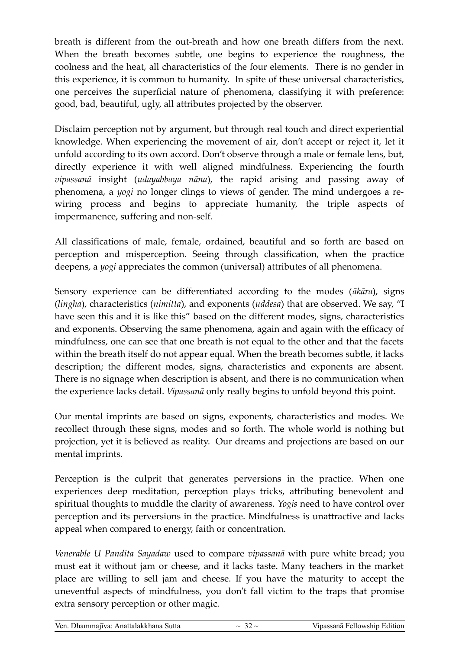breath is different from the out-breath and how one breath differs from the next. When the breath becomes subtle, one begins to experience the roughness, the coolness and the heat, all characteristics of the four elements. There is no gender in this experience, it is common to humanity. In spite of these universal characteristics, one perceives the superficial nature of phenomena, classifying it with preference: good, bad, beautiful, ugly, all attributes projected by the observer.

Disclaim perception not by argument, but through real touch and direct experiential knowledge. When experiencing the movement of air, don't accept or reject it, let it unfold according to its own accord. Don't observe through a male or female lens, but, directly experience it with well aligned mindfulness. Experiencing the fourth *vipassanā* insight (*udayabbaya nāna*), the rapid arising and passing away of phenomena, a *yogi* no longer clings to views of gender. The mind undergoes a rewiring process and begins to appreciate humanity, the triple aspects of impermanence, suffering and non-self.

All classifications of male, female, ordained, beautiful and so forth are based on perception and misperception. Seeing through classification, when the practice deepens, a *yogi* appreciates the common (universal) attributes of all phenomena.

Sensory experience can be differentiated according to the modes (*ākāra*), signs (*lingha*), characteristics (*nimitta*), and exponents (*uddesa*) that are observed. We say, "I have seen this and it is like this" based on the different modes, signs, characteristics and exponents. Observing the same phenomena, again and again with the efficacy of mindfulness, one can see that one breath is not equal to the other and that the facets within the breath itself do not appear equal. When the breath becomes subtle, it lacks description; the different modes, signs, characteristics and exponents are absent. There is no signage when description is absent, and there is no communication when the experience lacks detail. *Vipassanā* only really begins to unfold beyond this point.

Our mental imprints are based on signs, exponents, characteristics and modes. We recollect through these signs, modes and so forth. The whole world is nothing but projection, yet it is believed as reality. Our dreams and projections are based on our mental imprints.

Perception is the culprit that generates perversions in the practice. When one experiences deep meditation, perception plays tricks, attributing benevolent and spiritual thoughts to muddle the clarity of awareness. *Yogis* need to have control over perception and its perversions in the practice. Mindfulness is unattractive and lacks appeal when compared to energy, faith or concentration.

*Venerable U Pandita Sayadaw* used to compare *vipassanā* with pure white bread; you must eat it without jam or cheese, and it lacks taste. Many teachers in the market place are willing to sell jam and cheese. If you have the maturity to accept the uneventful aspects of mindfulness, you don't fall victim to the traps that promise extra sensory perception or other magic.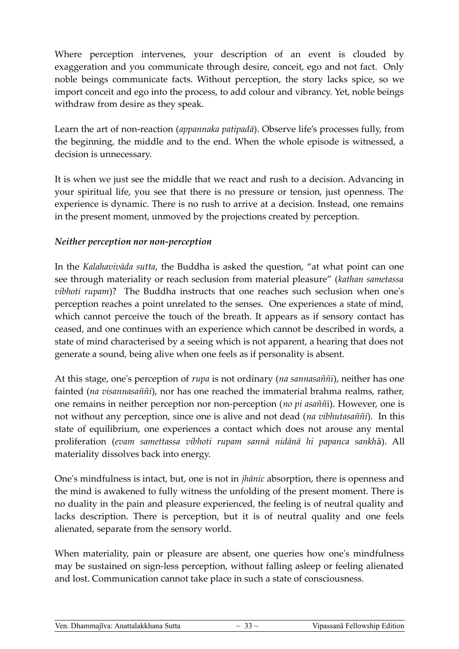Where perception intervenes, your description of an event is clouded by exaggeration and you communicate through desire, conceit, ego and not fact. Only noble beings communicate facts. Without perception, the story lacks spice, so we import conceit and ego into the process, to add colour and vibrancy. Yet, noble beings withdraw from desire as they speak.

Learn the art of non-reaction (*appannaka patipadā*). Observe life's processes fully, from the beginning, the middle and to the end. When the whole episode is witnessed, a decision is unnecessary.

It is when we just see the middle that we react and rush to a decision. Advancing in your spiritual life, you see that there is no pressure or tension, just openness. The experience is dynamic. There is no rush to arrive at a decision. Instead, one remains in the present moment, unmoved by the projections created by perception.

#### *Neither perception nor non-perception*

In the *Kalahavivāda sutta*, the Buddha is asked the question, "at what point can one see through materiality or reach seclusion from material pleasure" (*kathan sametassa vibhoti rupam*)? The Buddha instructs that one reaches such seclusion when one's perception reaches a point unrelated to the senses. One experiences a state of mind, which cannot perceive the touch of the breath. It appears as if sensory contact has ceased, and one continues with an experience which cannot be described in words, a state of mind characterised by a seeing which is not apparent, a hearing that does not generate a sound, being alive when one feels as if personality is absent.

At this stage, one's perception of *rupa* is not ordinary (*na sannasaññi*), neither has one fainted (*na visannasaññi*), nor has one reached the immaterial brahma realms, rather, one remains in neither perception nor non-perception (*no pi asaññ*i). However, one is not without any perception, since one is alive and not dead (*na vibhutasaññi*). In this state of equilibrium, one experiences a contact which does not arouse any mental proliferation (*evam samettassa vibhoti rupam sannā nidānā hi papanca sankh*ā). All materiality dissolves back into energy.

One's mindfulness is intact, but, one is not in *jhānic* absorption, there is openness and the mind is awakened to fully witness the unfolding of the present moment. There is no duality in the pain and pleasure experienced, the feeling is of neutral quality and lacks description. There is perception, but it is of neutral quality and one feels alienated, separate from the sensory world.

When materiality, pain or pleasure are absent, one queries how one's mindfulness may be sustained on sign-less perception, without falling asleep or feeling alienated and lost. Communication cannot take place in such a state of consciousness.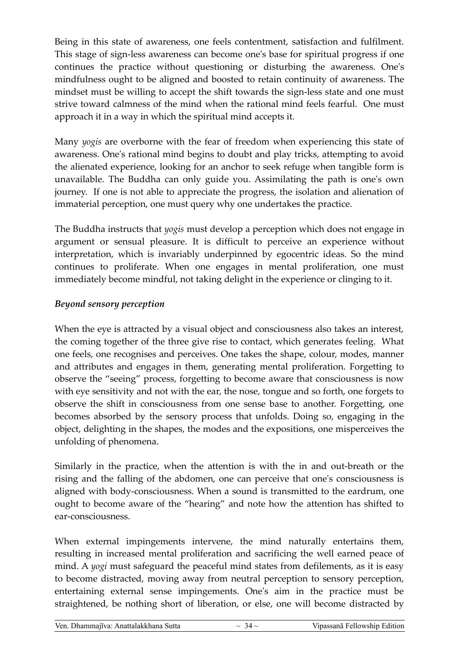Being in this state of awareness, one feels contentment, satisfaction and fulfilment. This stage of sign-less awareness can become one's base for spiritual progress if one continues the practice without questioning or disturbing the awareness. One's mindfulness ought to be aligned and boosted to retain continuity of awareness. The mindset must be willing to accept the shift towards the sign-less state and one must strive toward calmness of the mind when the rational mind feels fearful. One must approach it in a way in which the spiritual mind accepts it.

Many *yogis* are overborne with the fear of freedom when experiencing this state of awareness. One's rational mind begins to doubt and play tricks, attempting to avoid the alienated experience, looking for an anchor to seek refuge when tangible form is unavailable. The Buddha can only guide you. Assimilating the path is one's own journey. If one is not able to appreciate the progress, the isolation and alienation of immaterial perception, one must query why one undertakes the practice.

The Buddha instructs that *yogis* must develop a perception which does not engage in argument or sensual pleasure. It is difficult to perceive an experience without interpretation, which is invariably underpinned by egocentric ideas. So the mind continues to proliferate. When one engages in mental proliferation, one must immediately become mindful, not taking delight in the experience or clinging to it.

#### *Beyond sensory perception*

When the eye is attracted by a visual object and consciousness also takes an interest, the coming together of the three give rise to contact, which generates feeling. What one feels, one recognises and perceives. One takes the shape, colour, modes, manner and attributes and engages in them, generating mental proliferation. Forgetting to observe the "seeing" process, forgetting to become aware that consciousness is now with eye sensitivity and not with the ear, the nose, tongue and so forth, one forgets to observe the shift in consciousness from one sense base to another. Forgetting, one becomes absorbed by the sensory process that unfolds. Doing so, engaging in the object, delighting in the shapes, the modes and the expositions, one misperceives the unfolding of phenomena.

Similarly in the practice, when the attention is with the in and out-breath or the rising and the falling of the abdomen, one can perceive that one's consciousness is aligned with body-consciousness. When a sound is transmitted to the eardrum, one ought to become aware of the "hearing" and note how the attention has shifted to ear-consciousness.

When external impingements intervene, the mind naturally entertains them, resulting in increased mental proliferation and sacrificing the well earned peace of mind. A *yogi* must safeguard the peaceful mind states from defilements, as it is easy to become distracted, moving away from neutral perception to sensory perception, entertaining external sense impingements. One's aim in the practice must be straightened, be nothing short of liberation, or else, one will become distracted by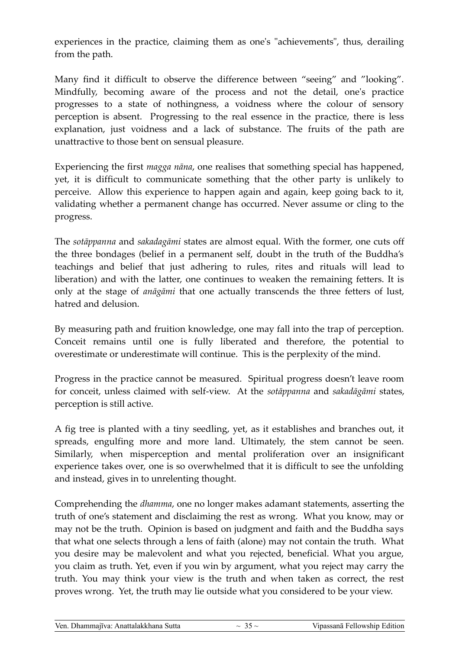experiences in the practice, claiming them as one's "achievements", thus, derailing from the path.

Many find it difficult to observe the difference between "seeing" and "looking". Mindfully, becoming aware of the process and not the detail, one's practice progresses to a state of nothingness, a voidness where the colour of sensory perception is absent. Progressing to the real essence in the practice, there is less explanation, just voidness and a lack of substance. The fruits of the path are unattractive to those bent on sensual pleasure.

Experiencing the first *magga nāna*, one realises that something special has happened, yet, it is difficult to communicate something that the other party is unlikely to perceive. Allow this experience to happen again and again, keep going back to it, validating whether a permanent change has occurred. Never assume or cling to the progress.

The *sotāppanna* and *sakadagāmi* states are almost equal. With the former, one cuts off the three bondages (belief in a permanent self, doubt in the truth of the Buddha's teachings and belief that just adhering to rules, rites and rituals will lead to liberation) and with the latter, one continues to weaken the remaining fetters. It is only at the stage of *anāgāmi* that one actually transcends the three fetters of lust, hatred and delusion.

By measuring path and fruition knowledge, one may fall into the trap of perception. Conceit remains until one is fully liberated and therefore, the potential to overestimate or underestimate will continue. This is the perplexity of the mind.

Progress in the practice cannot be measured. Spiritual progress doesn't leave room for conceit, unless claimed with self-view. At the *sotāppanna* and *sakadāgāmi* states, perception is still active.

A fig tree is planted with a tiny seedling, yet, as it establishes and branches out, it spreads, engulfing more and more land. Ultimately, the stem cannot be seen. Similarly, when misperception and mental proliferation over an insignificant experience takes over, one is so overwhelmed that it is difficult to see the unfolding and instead, gives in to unrelenting thought.

Comprehending the *dhamma*, one no longer makes adamant statements, asserting the truth of one's statement and disclaiming the rest as wrong. What you know, may or may not be the truth. Opinion is based on judgment and faith and the Buddha says that what one selects through a lens of faith (alone) may not contain the truth. What you desire may be malevolent and what you rejected, beneficial. What you argue, you claim as truth. Yet, even if you win by argument, what you reject may carry the truth. You may think your view is the truth and when taken as correct, the rest proves wrong. Yet, the truth may lie outside what you considered to be your view.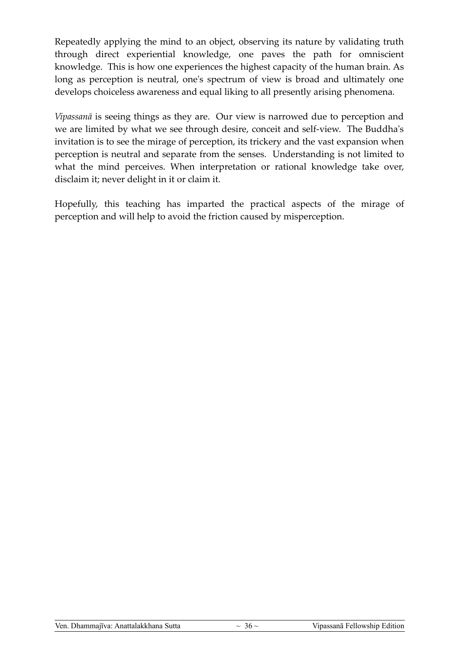Repeatedly applying the mind to an object, observing its nature by validating truth through direct experiential knowledge, one paves the path for omniscient knowledge. This is how one experiences the highest capacity of the human brain. As long as perception is neutral, one's spectrum of view is broad and ultimately one develops choiceless awareness and equal liking to all presently arising phenomena.

*Vipassanā* is seeing things as they are. Our view is narrowed due to perception and we are limited by what we see through desire, conceit and self-view. The Buddha's invitation is to see the mirage of perception, its trickery and the vast expansion when perception is neutral and separate from the senses. Understanding is not limited to what the mind perceives. When interpretation or rational knowledge take over, disclaim it; never delight in it or claim it.

Hopefully, this teaching has imparted the practical aspects of the mirage of perception and will help to avoid the friction caused by misperception.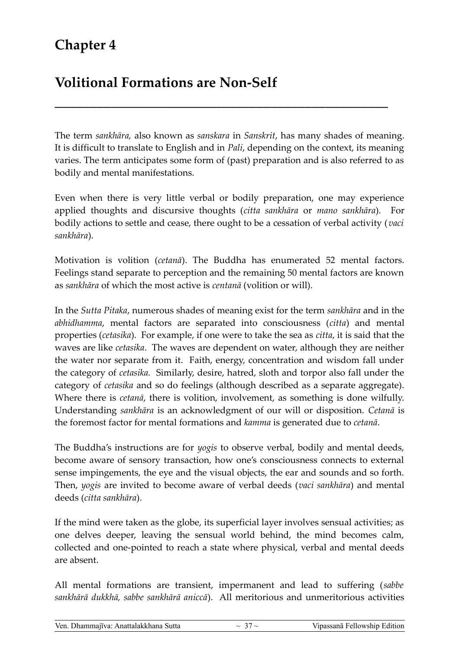### **Chapter 4**

### **Volitional Formations are Non-Self**

The term *sankhāra,* also known as *sanskara* in *Sanskrit*, has many shades of meaning. It is difficult to translate to English and in *Pali*, depending on the context, its meaning varies. The term anticipates some form of (past) preparation and is also referred to as bodily and mental manifestations.

**\_\_\_\_\_\_\_\_\_\_\_\_\_\_\_\_\_\_\_\_\_\_\_\_\_\_\_\_\_\_\_\_\_\_\_\_\_\_\_\_\_\_\_\_\_\_\_\_**

Even when there is very little verbal or bodily preparation, one may experience applied thoughts and discursive thoughts (*citta sankhāra* or *mano sankhāra*). For bodily actions to settle and cease, there ought to be a cessation of verbal activity (*vaci sankhāra*).

Motivation is volition (*cetanā*). The Buddha has enumerated 52 mental factors. Feelings stand separate to perception and the remaining 50 mental factors are known as *sankhāra* of which the most active is *centanā* (volition or will).

In the *Sutta Pitaka*, numerous shades of meaning exist for the term *sankhāra* and in the *abhidhamma*, mental factors are separated into consciousness (*citta*) and mental properties (*cetasika*). For example, if one were to take the sea as *citta*, it is said that the waves are like *cetasika*. The waves are dependent on water, although they are neither the water nor separate from it. Faith, energy, concentration and wisdom fall under the category of *cetasika.* Similarly, desire, hatred, sloth and torpor also fall under the category of *cetasika* and so do feelings (although described as a separate aggregate). Where there is *cetanā*, there is volition, involvement, as something is done wilfully. Understanding *sankhāra* is an acknowledgment of our will or disposition. *Cetanā* is the foremost factor for mental formations and *kamma* is generated due to *cetanā*.

The Buddha's instructions are for *yogis* to observe verbal, bodily and mental deeds, become aware of sensory transaction, how one's consciousness connects to external sense impingements, the eye and the visual objects, the ear and sounds and so forth. Then, *yogis* are invited to become aware of verbal deeds (*vaci sankhāra*) and mental deeds (*citta sankhāra*).

If the mind were taken as the globe, its superficial layer involves sensual activities; as one delves deeper, leaving the sensual world behind, the mind becomes calm, collected and one-pointed to reach a state where physical, verbal and mental deeds are absent.

All mental formations are transient, impermanent and lead to suffering (*sabbe sankhārā dukkhā, sabbe sankhārā aniccā*). All meritorious and unmeritorious activities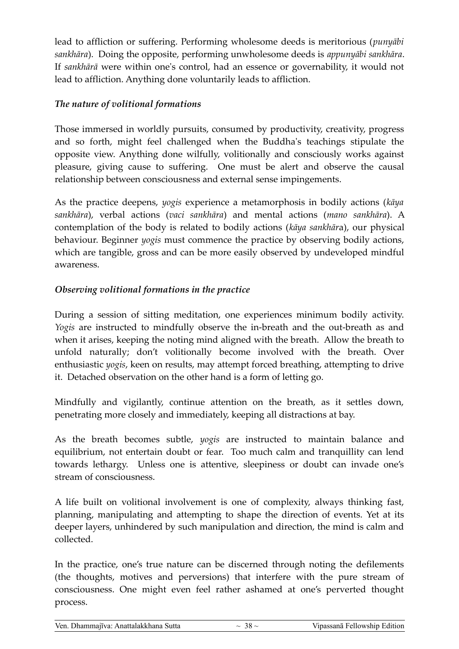lead to affliction or suffering. Performing wholesome deeds is meritorious (*punyābi sankhāra*). Doing the opposite, performing unwholesome deeds is *appunyābi sankhāra*. If *sankhārā* were within one's control, had an essence or governability, it would not lead to affliction. Anything done voluntarily leads to affliction.

#### *The nature of volitional formations*

Those immersed in worldly pursuits, consumed by productivity, creativity, progress and so forth, might feel challenged when the Buddha's teachings stipulate the opposite view. Anything done wilfully, volitionally and consciously works against pleasure, giving cause to suffering. One must be alert and observe the causal relationship between consciousness and external sense impingements.

As the practice deepens, *yogis* experience a metamorphosis in bodily actions (*kāya sankhāra*), verbal actions (*vaci sankhāra*) and mental actions (*mano sankhāra*). A contemplation of the body is related to bodily actions (*kāya sankhār*a), our physical behaviour. Beginner *yogis* must commence the practice by observing bodily actions, which are tangible, gross and can be more easily observed by undeveloped mindful awareness.

#### *Observing volitional formations in the practice*

During a session of sitting meditation, one experiences minimum bodily activity. *Yogis* are instructed to mindfully observe the in-breath and the out-breath as and when it arises, keeping the noting mind aligned with the breath. Allow the breath to unfold naturally; don't volitionally become involved with the breath. Over enthusiastic *yogis*, keen on results, may attempt forced breathing, attempting to drive it. Detached observation on the other hand is a form of letting go.

Mindfully and vigilantly, continue attention on the breath, as it settles down, penetrating more closely and immediately, keeping all distractions at bay.

As the breath becomes subtle, *yogis* are instructed to maintain balance and equilibrium, not entertain doubt or fear. Too much calm and tranquillity can lend towards lethargy. Unless one is attentive, sleepiness or doubt can invade one's stream of consciousness.

A life built on volitional involvement is one of complexity, always thinking fast, planning, manipulating and attempting to shape the direction of events. Yet at its deeper layers, unhindered by such manipulation and direction, the mind is calm and collected.

In the practice, one's true nature can be discerned through noting the defilements (the thoughts, motives and perversions) that interfere with the pure stream of consciousness. One might even feel rather ashamed at one's perverted thought process.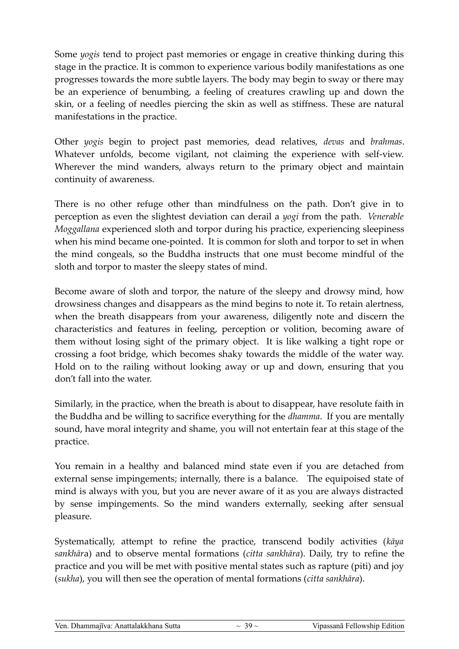Some *yogis* tend to project past memories or engage in creative thinking during this stage in the practice. It is common to experience various bodily manifestations as one progresses towards the more subtle layers. The body may begin to sway or there may be an experience of benumbing, a feeling of creatures crawling up and down the skin, or a feeling of needles piercing the skin as well as stiffness. These are natural manifestations in the practice.

Other *yogis* begin to project past memories, dead relatives, *devas* and *brahmas*. Whatever unfolds, become vigilant, not claiming the experience with self-view. Wherever the mind wanders, always return to the primary object and maintain continuity of awareness.

There is no other refuge other than mindfulness on the path. Don't give in to perception as even the slightest deviation can derail a *yogi* from the path. *Venerable Moggallana* experienced sloth and torpor during his practice, experiencing sleepiness when his mind became one-pointed. It is common for sloth and torpor to set in when the mind congeals, so the Buddha instructs that one must become mindful of the sloth and torpor to master the sleepy states of mind.

Become aware of sloth and torpor, the nature of the sleepy and drowsy mind, how drowsiness changes and disappears as the mind begins to note it. To retain alertness, when the breath disappears from your awareness, diligently note and discern the characteristics and features in feeling, perception or volition, becoming aware of them without losing sight of the primary object. It is like walking a tight rope or crossing a foot bridge, which becomes shaky towards the middle of the water way. Hold on to the railing without looking away or up and down, ensuring that you don't fall into the water.

Similarly, in the practice, when the breath is about to disappear, have resolute faith in the Buddha and be willing to sacrifice everything for the *dhamma*. If you are mentally sound, have moral integrity and shame, you will not entertain fear at this stage of the practice.

You remain in a healthy and balanced mind state even if you are detached from external sense impingements; internally, there is a balance. The equipoised state of mind is always with you, but you are never aware of it as you are always distracted by sense impingements. So the mind wanders externally, seeking after sensual pleasure.

Systematically, attempt to refine the practice, transcend bodily activities (*kāya sankhār*a) and to observe mental formations (*citta sankhāra*). Daily, try to refine the practice and you will be met with positive mental states such as rapture (piti) and joy (*sukha*), you will then see the operation of mental formations (*citta sankhāra*).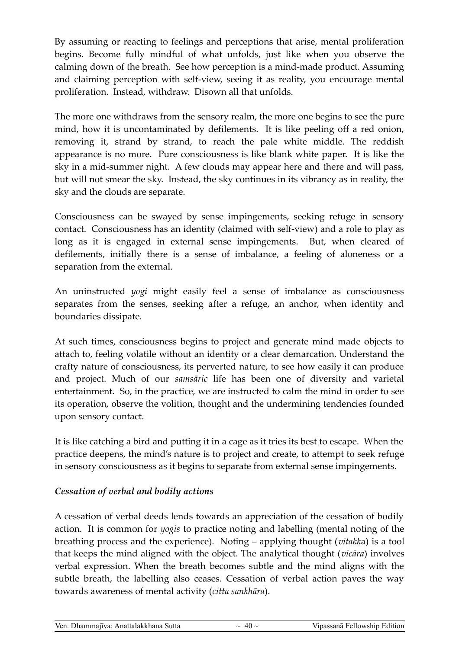By assuming or reacting to feelings and perceptions that arise, mental proliferation begins. Become fully mindful of what unfolds, just like when you observe the calming down of the breath. See how perception is a mind-made product. Assuming and claiming perception with self-view, seeing it as reality, you encourage mental proliferation. Instead, withdraw. Disown all that unfolds.

The more one withdraws from the sensory realm, the more one begins to see the pure mind, how it is uncontaminated by defilements. It is like peeling off a red onion, removing it, strand by strand, to reach the pale white middle. The reddish appearance is no more. Pure consciousness is like blank white paper. It is like the sky in a mid-summer night. A few clouds may appear here and there and will pass, but will not smear the sky. Instead, the sky continues in its vibrancy as in reality, the sky and the clouds are separate.

Consciousness can be swayed by sense impingements, seeking refuge in sensory contact. Consciousness has an identity (claimed with self-view) and a role to play as long as it is engaged in external sense impingements. But, when cleared of defilements, initially there is a sense of imbalance, a feeling of aloneness or a separation from the external.

An uninstructed *yogi* might easily feel a sense of imbalance as consciousness separates from the senses, seeking after a refuge, an anchor, when identity and boundaries dissipate.

At such times, consciousness begins to project and generate mind made objects to attach to, feeling volatile without an identity or a clear demarcation. Understand the crafty nature of consciousness, its perverted nature, to see how easily it can produce and project. Much of our *samsāric* life has been one of diversity and varietal entertainment. So, in the practice, we are instructed to calm the mind in order to see its operation, observe the volition, thought and the undermining tendencies founded upon sensory contact.

It is like catching a bird and putting it in a cage as it tries its best to escape. When the practice deepens, the mind's nature is to project and create, to attempt to seek refuge in sensory consciousness as it begins to separate from external sense impingements.

#### *Cessation of verbal and bodily actions*

A cessation of verbal deeds lends towards an appreciation of the cessation of bodily action. It is common for *yogis* to practice noting and labelling (mental noting of the breathing process and the experience). Noting – applying thought (*vitakk*a) is a tool that keeps the mind aligned with the object. The analytical thought (*vicāra*) involves verbal expression. When the breath becomes subtle and the mind aligns with the subtle breath, the labelling also ceases. Cessation of verbal action paves the way towards awareness of mental activity (*citta sankhāra*).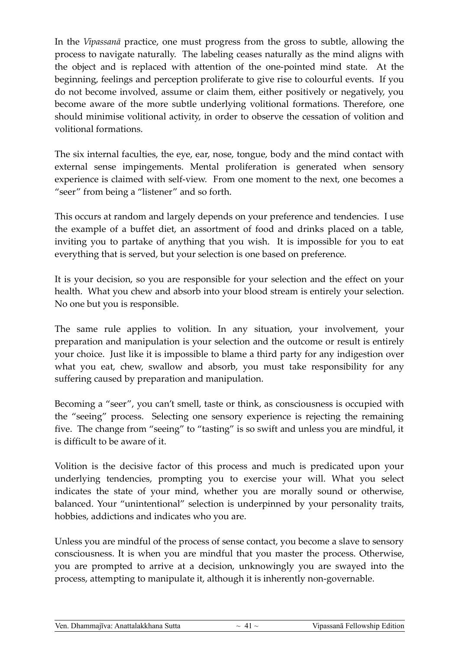In the *Vipassanā* practice, one must progress from the gross to subtle, allowing the process to navigate naturally. The labeling ceases naturally as the mind aligns with the object and is replaced with attention of the one-pointed mind state. At the beginning, feelings and perception proliferate to give rise to colourful events. If you do not become involved, assume or claim them, either positively or negatively, you become aware of the more subtle underlying volitional formations. Therefore, one should minimise volitional activity, in order to observe the cessation of volition and volitional formations.

The six internal faculties, the eye, ear, nose, tongue, body and the mind contact with external sense impingements. Mental proliferation is generated when sensory experience is claimed with self-view. From one moment to the next, one becomes a "seer" from being a "listener" and so forth.

This occurs at random and largely depends on your preference and tendencies. I use the example of a buffet diet, an assortment of food and drinks placed on a table, inviting you to partake of anything that you wish. It is impossible for you to eat everything that is served, but your selection is one based on preference.

It is your decision, so you are responsible for your selection and the effect on your health. What you chew and absorb into your blood stream is entirely your selection. No one but you is responsible.

The same rule applies to volition. In any situation, your involvement, your preparation and manipulation is your selection and the outcome or result is entirely your choice. Just like it is impossible to blame a third party for any indigestion over what you eat, chew, swallow and absorb, you must take responsibility for any suffering caused by preparation and manipulation.

Becoming a "seer", you can't smell, taste or think, as consciousness is occupied with the "seeing" process. Selecting one sensory experience is rejecting the remaining five. The change from "seeing" to "tasting" is so swift and unless you are mindful, it is difficult to be aware of it.

Volition is the decisive factor of this process and much is predicated upon your underlying tendencies, prompting you to exercise your will. What you select indicates the state of your mind, whether you are morally sound or otherwise, balanced. Your "unintentional" selection is underpinned by your personality traits, hobbies, addictions and indicates who you are.

Unless you are mindful of the process of sense contact, you become a slave to sensory consciousness. It is when you are mindful that you master the process. Otherwise, you are prompted to arrive at a decision, unknowingly you are swayed into the process, attempting to manipulate it, although it is inherently non-governable.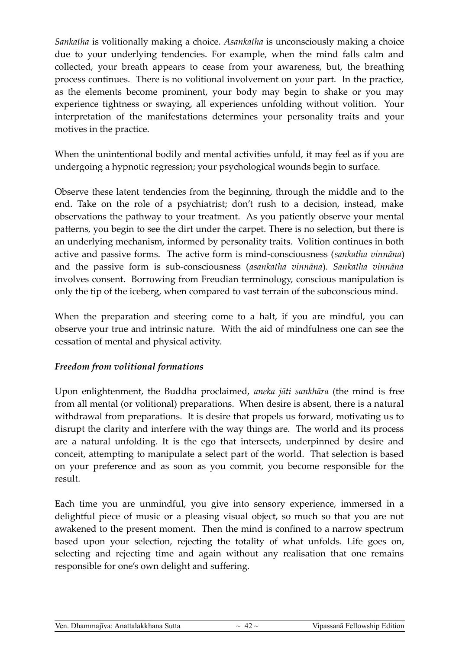*Sankatha* is volitionally making a choice. *Asankatha* is unconsciously making a choice due to your underlying tendencies. For example, when the mind falls calm and collected, your breath appears to cease from your awareness, but, the breathing process continues. There is no volitional involvement on your part. In the practice, as the elements become prominent, your body may begin to shake or you may experience tightness or swaying, all experiences unfolding without volition. Your interpretation of the manifestations determines your personality traits and your motives in the practice.

When the unintentional bodily and mental activities unfold, it may feel as if you are undergoing a hypnotic regression; your psychological wounds begin to surface.

Observe these latent tendencies from the beginning, through the middle and to the end. Take on the role of a psychiatrist; don't rush to a decision, instead, make observations the pathway to your treatment. As you patiently observe your mental patterns, you begin to see the dirt under the carpet. There is no selection, but there is an underlying mechanism, informed by personality traits. Volition continues in both active and passive forms. The active form is mind-consciousness (*sankatha vinnāna*) and the passive form is sub-consciousness (*asankatha vinnāna*). *Sankatha vinnāna* involves consent. Borrowing from Freudian terminology, conscious manipulation is only the tip of the iceberg, when compared to vast terrain of the subconscious mind.

When the preparation and steering come to a halt, if you are mindful, you can observe your true and intrinsic nature. With the aid of mindfulness one can see the cessation of mental and physical activity.

#### *Freedom from volitional formations*

Upon enlightenment, the Buddha proclaimed, *aneka jāti sankhāra* (the mind is free from all mental (or volitional) preparations. When desire is absent, there is a natural withdrawal from preparations. It is desire that propels us forward, motivating us to disrupt the clarity and interfere with the way things are. The world and its process are a natural unfolding. It is the ego that intersects, underpinned by desire and conceit, attempting to manipulate a select part of the world. That selection is based on your preference and as soon as you commit, you become responsible for the result.

Each time you are unmindful, you give into sensory experience, immersed in a delightful piece of music or a pleasing visual object, so much so that you are not awakened to the present moment. Then the mind is confined to a narrow spectrum based upon your selection, rejecting the totality of what unfolds. Life goes on, selecting and rejecting time and again without any realisation that one remains responsible for one's own delight and suffering.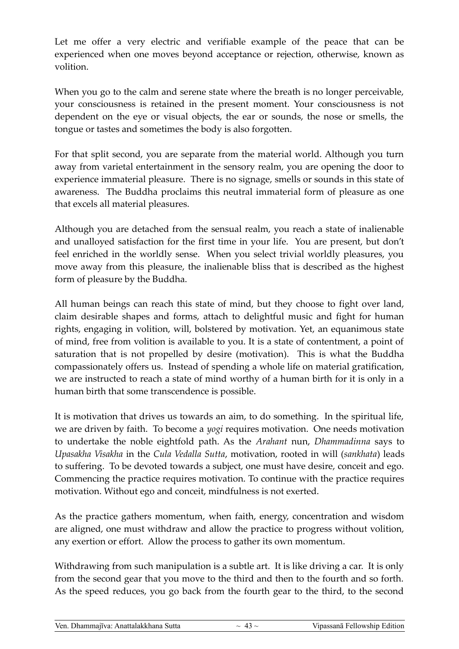Let me offer a very electric and verifiable example of the peace that can be experienced when one moves beyond acceptance or rejection, otherwise, known as volition.

When you go to the calm and serene state where the breath is no longer perceivable, your consciousness is retained in the present moment. Your consciousness is not dependent on the eye or visual objects, the ear or sounds, the nose or smells, the tongue or tastes and sometimes the body is also forgotten.

For that split second, you are separate from the material world. Although you turn away from varietal entertainment in the sensory realm, you are opening the door to experience immaterial pleasure. There is no signage, smells or sounds in this state of awareness. The Buddha proclaims this neutral immaterial form of pleasure as one that excels all material pleasures.

Although you are detached from the sensual realm, you reach a state of inalienable and unalloyed satisfaction for the first time in your life. You are present, but don't feel enriched in the worldly sense. When you select trivial worldly pleasures, you move away from this pleasure, the inalienable bliss that is described as the highest form of pleasure by the Buddha.

All human beings can reach this state of mind, but they choose to fight over land, claim desirable shapes and forms, attach to delightful music and fight for human rights, engaging in volition, will, bolstered by motivation. Yet, an equanimous state of mind, free from volition is available to you. It is a state of contentment, a point of saturation that is not propelled by desire (motivation). This is what the Buddha compassionately offers us. Instead of spending a whole life on material gratification, we are instructed to reach a state of mind worthy of a human birth for it is only in a human birth that some transcendence is possible.

It is motivation that drives us towards an aim, to do something. In the spiritual life, we are driven by faith. To become a *yogi* requires motivation. One needs motivation to undertake the noble eightfold path. As the *Arahant* nun, *Dhammadinna* says to *Upasakha Visakha* in the *Cula Vedalla Sutta*, motivation, rooted in will (*sankhata*) leads to suffering. To be devoted towards a subject, one must have desire, conceit and ego. Commencing the practice requires motivation. To continue with the practice requires motivation. Without ego and conceit, mindfulness is not exerted.

As the practice gathers momentum, when faith, energy, concentration and wisdom are aligned, one must withdraw and allow the practice to progress without volition, any exertion or effort. Allow the process to gather its own momentum.

Withdrawing from such manipulation is a subtle art. It is like driving a car. It is only from the second gear that you move to the third and then to the fourth and so forth. As the speed reduces, you go back from the fourth gear to the third, to the second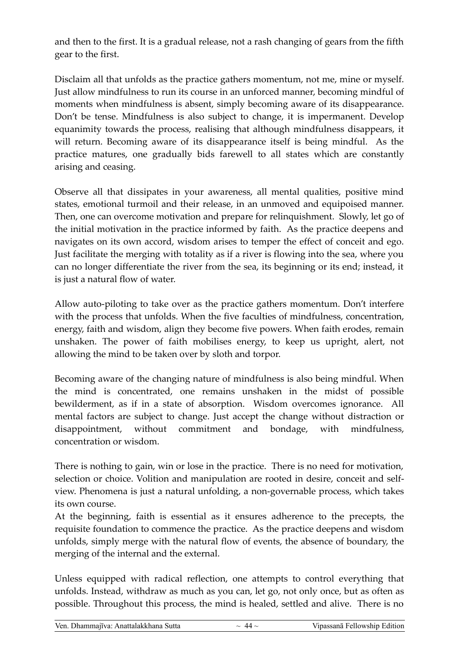and then to the first. It is a gradual release, not a rash changing of gears from the fifth gear to the first.

Disclaim all that unfolds as the practice gathers momentum, not me, mine or myself. Just allow mindfulness to run its course in an unforced manner, becoming mindful of moments when mindfulness is absent, simply becoming aware of its disappearance. Don't be tense. Mindfulness is also subject to change, it is impermanent. Develop equanimity towards the process, realising that although mindfulness disappears, it will return. Becoming aware of its disappearance itself is being mindful. As the practice matures, one gradually bids farewell to all states which are constantly arising and ceasing.

Observe all that dissipates in your awareness, all mental qualities, positive mind states, emotional turmoil and their release, in an unmoved and equipoised manner. Then, one can overcome motivation and prepare for relinquishment. Slowly, let go of the initial motivation in the practice informed by faith. As the practice deepens and navigates on its own accord, wisdom arises to temper the effect of conceit and ego. Just facilitate the merging with totality as if a river is flowing into the sea, where you can no longer differentiate the river from the sea, its beginning or its end; instead, it is just a natural flow of water.

Allow auto-piloting to take over as the practice gathers momentum. Don't interfere with the process that unfolds. When the five faculties of mindfulness, concentration, energy, faith and wisdom, align they become five powers. When faith erodes, remain unshaken. The power of faith mobilises energy, to keep us upright, alert, not allowing the mind to be taken over by sloth and torpor.

Becoming aware of the changing nature of mindfulness is also being mindful. When the mind is concentrated, one remains unshaken in the midst of possible bewilderment, as if in a state of absorption. Wisdom overcomes ignorance. All mental factors are subject to change. Just accept the change without distraction or disappointment, without commitment and bondage, with mindfulness, concentration or wisdom.

There is nothing to gain, win or lose in the practice. There is no need for motivation, selection or choice. Volition and manipulation are rooted in desire, conceit and selfview. Phenomena is just a natural unfolding, a non-governable process, which takes its own course.

At the beginning, faith is essential as it ensures adherence to the precepts, the requisite foundation to commence the practice. As the practice deepens and wisdom unfolds, simply merge with the natural flow of events, the absence of boundary, the merging of the internal and the external.

Unless equipped with radical reflection, one attempts to control everything that unfolds. Instead, withdraw as much as you can, let go, not only once, but as often as possible. Throughout this process, the mind is healed, settled and alive. There is no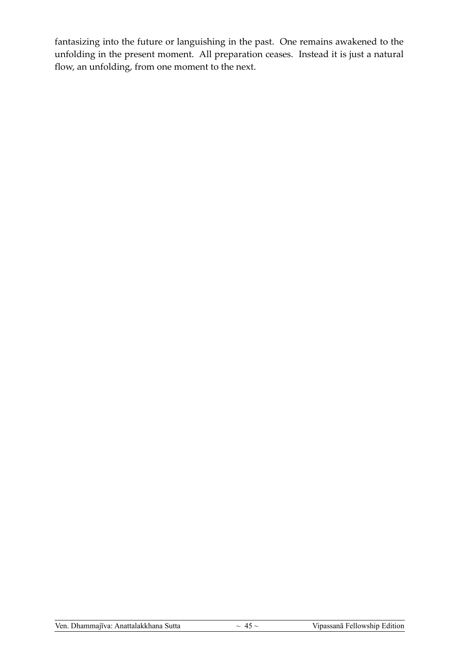fantasizing into the future or languishing in the past. One remains awakened to the unfolding in the present moment. All preparation ceases. Instead it is just a natural flow, an unfolding, from one moment to the next.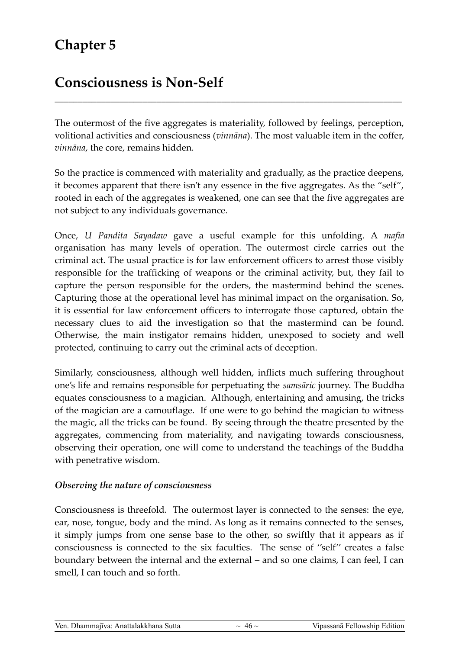### **Chapter 5**

### **Consciousness is Non-Self**

The outermost of the five aggregates is materiality, followed by feelings, perception, volitional activities and consciousness (*vinnāna*). The most valuable item in the coffer, *vinnāna*, the core, remains hidden.

\_\_\_\_\_\_\_\_\_\_\_\_\_\_\_\_\_\_\_\_\_\_\_\_\_\_\_\_\_\_\_\_\_\_\_\_\_\_\_\_\_\_\_\_\_\_\_\_\_\_\_\_\_\_\_\_\_\_\_\_\_\_\_\_\_\_\_\_\_\_\_\_\_\_\_

So the practice is commenced with materiality and gradually, as the practice deepens, it becomes apparent that there isn't any essence in the five aggregates. As the "self", rooted in each of the aggregates is weakened, one can see that the five aggregates are not subject to any individuals governance.

Once, *U Pandita Sayadaw* gave a useful example for this unfolding. A *mafia* organisation has many levels of operation. The outermost circle carries out the criminal act. The usual practice is for law enforcement officers to arrest those visibly responsible for the trafficking of weapons or the criminal activity, but, they fail to capture the person responsible for the orders, the mastermind behind the scenes. Capturing those at the operational level has minimal impact on the organisation. So, it is essential for law enforcement officers to interrogate those captured, obtain the necessary clues to aid the investigation so that the mastermind can be found. Otherwise, the main instigator remains hidden, unexposed to society and well protected, continuing to carry out the criminal acts of deception.

Similarly, consciousness, although well hidden, inflicts much suffering throughout one's life and remains responsible for perpetuating the *samsāric* journey. The Buddha equates consciousness to a magician. Although, entertaining and amusing, the tricks of the magician are a camouflage. If one were to go behind the magician to witness the magic, all the tricks can be found. By seeing through the theatre presented by the aggregates, commencing from materiality, and navigating towards consciousness, observing their operation, one will come to understand the teachings of the Buddha with penetrative wisdom.

#### *Observing the nature of consciousness*

Consciousness is threefold. The outermost layer is connected to the senses: the eye, ear, nose, tongue, body and the mind. As long as it remains connected to the senses, it simply jumps from one sense base to the other, so swiftly that it appears as if consciousness is connected to the six faculties. The sense of ''self'' creates a false boundary between the internal and the external – and so one claims, I can feel, I can smell, I can touch and so forth.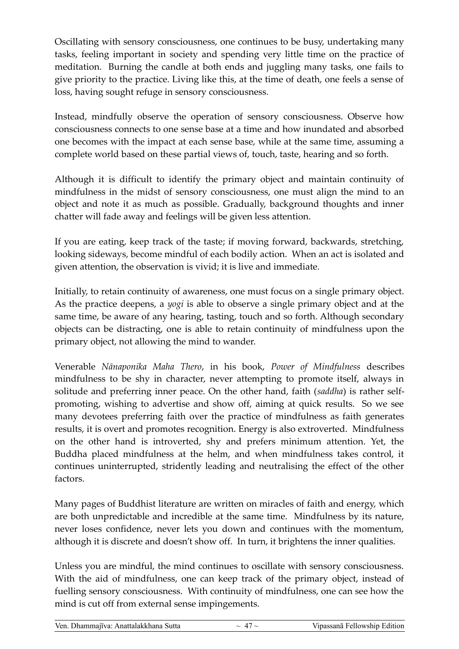Oscillating with sensory consciousness, one continues to be busy, undertaking many tasks, feeling important in society and spending very little time on the practice of meditation. Burning the candle at both ends and juggling many tasks, one fails to give priority to the practice. Living like this, at the time of death, one feels a sense of loss, having sought refuge in sensory consciousness.

Instead, mindfully observe the operation of sensory consciousness. Observe how consciousness connects to one sense base at a time and how inundated and absorbed one becomes with the impact at each sense base, while at the same time, assuming a complete world based on these partial views of, touch, taste, hearing and so forth.

Although it is difficult to identify the primary object and maintain continuity of mindfulness in the midst of sensory consciousness, one must align the mind to an object and note it as much as possible. Gradually, background thoughts and inner chatter will fade away and feelings will be given less attention.

If you are eating, keep track of the taste; if moving forward, backwards, stretching, looking sideways, become mindful of each bodily action. When an act is isolated and given attention, the observation is vivid; it is live and immediate.

Initially, to retain continuity of awareness, one must focus on a single primary object. As the practice deepens, a *yogi* is able to observe a single primary object and at the same time, be aware of any hearing, tasting, touch and so forth. Although secondary objects can be distracting, one is able to retain continuity of mindfulness upon the primary object, not allowing the mind to wander.

Venerable *Nānaponika Maha Thero*, in his book, *Power of Mindfulness* describes mindfulness to be shy in character, never attempting to promote itself, always in solitude and preferring inner peace. On the other hand, faith (*saddha*) is rather selfpromoting, wishing to advertise and show off, aiming at quick results. So we see many devotees preferring faith over the practice of mindfulness as faith generates results, it is overt and promotes recognition. Energy is also extroverted. Mindfulness on the other hand is introverted, shy and prefers minimum attention. Yet, the Buddha placed mindfulness at the helm, and when mindfulness takes control, it continues uninterrupted, stridently leading and neutralising the effect of the other factors.

Many pages of Buddhist literature are written on miracles of faith and energy, which are both unpredictable and incredible at the same time. Mindfulness by its nature, never loses confidence, never lets you down and continues with the momentum, although it is discrete and doesn't show off. In turn, it brightens the inner qualities.

Unless you are mindful, the mind continues to oscillate with sensory consciousness. With the aid of mindfulness, one can keep track of the primary object, instead of fuelling sensory consciousness. With continuity of mindfulness, one can see how the mind is cut off from external sense impingements.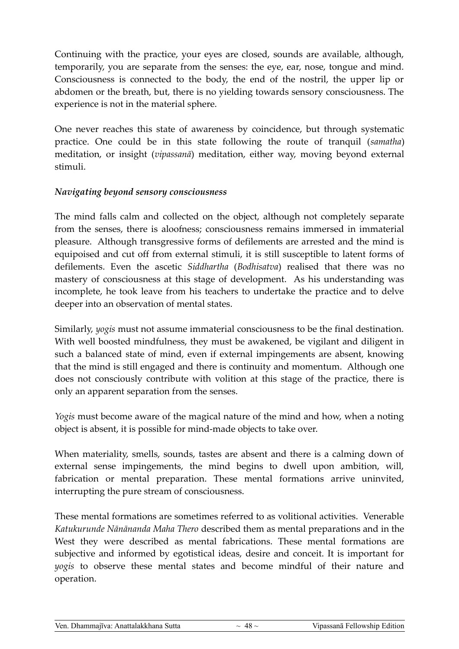Continuing with the practice, your eyes are closed, sounds are available, although, temporarily, you are separate from the senses: the eye, ear, nose, tongue and mind. Consciousness is connected to the body, the end of the nostril, the upper lip or abdomen or the breath, but, there is no yielding towards sensory consciousness. The experience is not in the material sphere.

One never reaches this state of awareness by coincidence, but through systematic practice. One could be in this state following the route of tranquil (*samatha*) meditation, or insight (*vipassanā*) meditation, either way, moving beyond external stimuli.

#### *Navigating beyond sensory consciousness*

The mind falls calm and collected on the object, although not completely separate from the senses, there is aloofness; consciousness remains immersed in immaterial pleasure. Although transgressive forms of defilements are arrested and the mind is equipoised and cut off from external stimuli, it is still susceptible to latent forms of defilements. Even the ascetic *Siddhartha* (*Bodhisatva*) realised that there was no mastery of consciousness at this stage of development. As his understanding was incomplete, he took leave from his teachers to undertake the practice and to delve deeper into an observation of mental states.

Similarly, *yogis* must not assume immaterial consciousness to be the final destination. With well boosted mindfulness, they must be awakened, be vigilant and diligent in such a balanced state of mind, even if external impingements are absent, knowing that the mind is still engaged and there is continuity and momentum. Although one does not consciously contribute with volition at this stage of the practice, there is only an apparent separation from the senses.

*Yogis* must become aware of the magical nature of the mind and how, when a noting object is absent, it is possible for mind-made objects to take over.

When materiality, smells, sounds, tastes are absent and there is a calming down of external sense impingements, the mind begins to dwell upon ambition, will, fabrication or mental preparation. These mental formations arrive uninvited, interrupting the pure stream of consciousness.

These mental formations are sometimes referred to as volitional activities. Venerable *Katukurunde Nānānanda Maha Thero* described them as mental preparations and in the West they were described as mental fabrications. These mental formations are subjective and informed by egotistical ideas, desire and conceit. It is important for *yogis* to observe these mental states and become mindful of their nature and operation.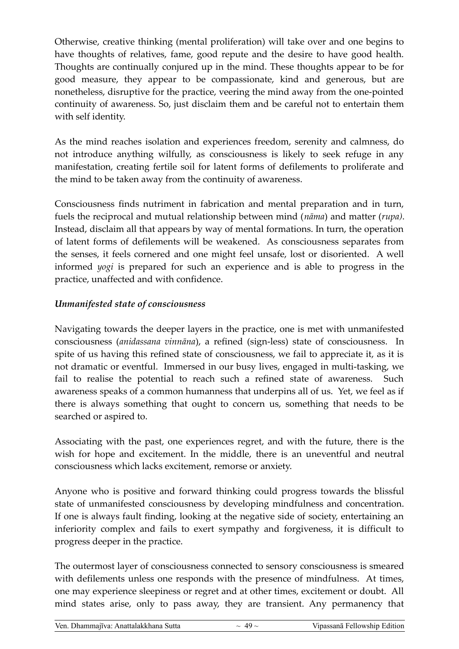Otherwise, creative thinking (mental proliferation) will take over and one begins to have thoughts of relatives, fame, good repute and the desire to have good health. Thoughts are continually conjured up in the mind. These thoughts appear to be for good measure, they appear to be compassionate, kind and generous, but are nonetheless, disruptive for the practice, veering the mind away from the one-pointed continuity of awareness. So, just disclaim them and be careful not to entertain them with self identity.

As the mind reaches isolation and experiences freedom, serenity and calmness, do not introduce anything wilfully, as consciousness is likely to seek refuge in any manifestation, creating fertile soil for latent forms of defilements to proliferate and the mind to be taken away from the continuity of awareness.

Consciousness finds nutriment in fabrication and mental preparation and in turn, fuels the reciprocal and mutual relationship between mind (*nāma*) and matter (*rupa)*. Instead, disclaim all that appears by way of mental formations. In turn, the operation of latent forms of defilements will be weakened. As consciousness separates from the senses, it feels cornered and one might feel unsafe, lost or disoriented. A well informed *yogi* is prepared for such an experience and is able to progress in the practice, unaffected and with confidence.

#### *Unmanifested state of consciousness*

Navigating towards the deeper layers in the practice, one is met with unmanifested consciousness (*anidassana vinnāna*), a refined (sign-less) state of consciousness. In spite of us having this refined state of consciousness, we fail to appreciate it, as it is not dramatic or eventful. Immersed in our busy lives, engaged in multi-tasking, we fail to realise the potential to reach such a refined state of awareness. Such awareness speaks of a common humanness that underpins all of us. Yet, we feel as if there is always something that ought to concern us, something that needs to be searched or aspired to.

Associating with the past, one experiences regret, and with the future, there is the wish for hope and excitement. In the middle, there is an uneventful and neutral consciousness which lacks excitement, remorse or anxiety.

Anyone who is positive and forward thinking could progress towards the blissful state of unmanifested consciousness by developing mindfulness and concentration. If one is always fault finding, looking at the negative side of society, entertaining an inferiority complex and fails to exert sympathy and forgiveness, it is difficult to progress deeper in the practice.

The outermost layer of consciousness connected to sensory consciousness is smeared with defilements unless one responds with the presence of mindfulness. At times, one may experience sleepiness or regret and at other times, excitement or doubt. All mind states arise, only to pass away, they are transient. Any permanency that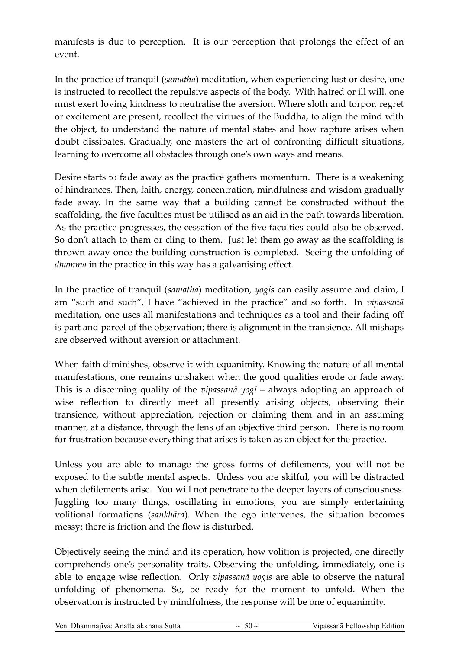manifests is due to perception. It is our perception that prolongs the effect of an event.

In the practice of tranquil (*samatha*) meditation, when experiencing lust or desire, one is instructed to recollect the repulsive aspects of the body. With hatred or ill will, one must exert loving kindness to neutralise the aversion. Where sloth and torpor, regret or excitement are present, recollect the virtues of the Buddha, to align the mind with the object, to understand the nature of mental states and how rapture arises when doubt dissipates. Gradually, one masters the art of confronting difficult situations, learning to overcome all obstacles through one's own ways and means.

Desire starts to fade away as the practice gathers momentum. There is a weakening of hindrances. Then, faith, energy, concentration, mindfulness and wisdom gradually fade away. In the same way that a building cannot be constructed without the scaffolding, the five faculties must be utilised as an aid in the path towards liberation. As the practice progresses, the cessation of the five faculties could also be observed. So don't attach to them or cling to them. Just let them go away as the scaffolding is thrown away once the building construction is completed. Seeing the unfolding of *dhamma* in the practice in this way has a galvanising effect.

In the practice of tranquil (*samatha*) meditation, *yogis* can easily assume and claim, I am "such and such", I have "achieved in the practice" and so forth. In *vipassanā* meditation, one uses all manifestations and techniques as a tool and their fading off is part and parcel of the observation; there is alignment in the transience. All mishaps are observed without aversion or attachment.

When faith diminishes, observe it with equanimity. Knowing the nature of all mental manifestations, one remains unshaken when the good qualities erode or fade away. This is a discerning quality of the *vipassanā yogi* – always adopting an approach of wise reflection to directly meet all presently arising objects, observing their transience, without appreciation, rejection or claiming them and in an assuming manner, at a distance, through the lens of an objective third person. There is no room for frustration because everything that arises is taken as an object for the practice.

Unless you are able to manage the gross forms of defilements, you will not be exposed to the subtle mental aspects. Unless you are skilful, you will be distracted when defilements arise. You will not penetrate to the deeper layers of consciousness. Juggling too many things, oscillating in emotions, you are simply entertaining volitional formations (*sankhāra*). When the ego intervenes, the situation becomes messy; there is friction and the flow is disturbed.

Objectively seeing the mind and its operation, how volition is projected, one directly comprehends one's personality traits. Observing the unfolding, immediately, one is able to engage wise reflection. Only *vipassanā yogis* are able to observe the natural unfolding of phenomena. So, be ready for the moment to unfold. When the observation is instructed by mindfulness, the response will be one of equanimity.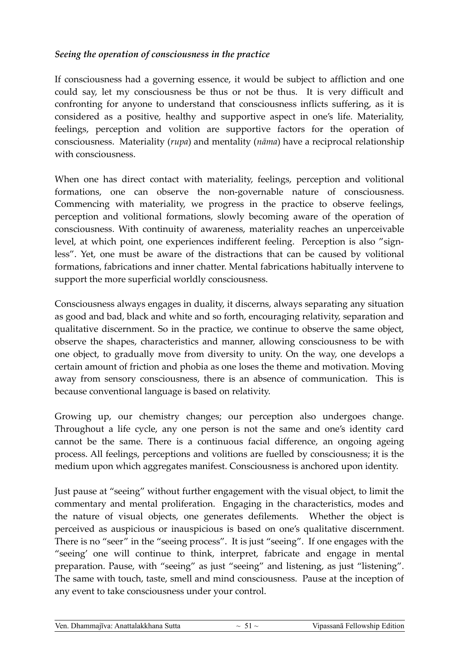#### *Seeing the operation of consciousness in the practice*

If consciousness had a governing essence, it would be subject to affliction and one could say, let my consciousness be thus or not be thus. It is very difficult and confronting for anyone to understand that consciousness inflicts suffering, as it is considered as a positive, healthy and supportive aspect in one's life. Materiality, feelings, perception and volition are supportive factors for the operation of consciousness. Materiality (*rupa*) and mentality (*nāma*) have a reciprocal relationship with consciousness.

When one has direct contact with materiality, feelings, perception and volitional formations, one can observe the non-governable nature of consciousness. Commencing with materiality, we progress in the practice to observe feelings, perception and volitional formations, slowly becoming aware of the operation of consciousness. With continuity of awareness, materiality reaches an unperceivable level, at which point, one experiences indifferent feeling. Perception is also "signless". Yet, one must be aware of the distractions that can be caused by volitional formations, fabrications and inner chatter. Mental fabrications habitually intervene to support the more superficial worldly consciousness.

Consciousness always engages in duality, it discerns, always separating any situation as good and bad, black and white and so forth, encouraging relativity, separation and qualitative discernment. So in the practice, we continue to observe the same object, observe the shapes, characteristics and manner, allowing consciousness to be with one object, to gradually move from diversity to unity. On the way, one develops a certain amount of friction and phobia as one loses the theme and motivation. Moving away from sensory consciousness, there is an absence of communication. This is because conventional language is based on relativity.

Growing up, our chemistry changes; our perception also undergoes change. Throughout a life cycle, any one person is not the same and one's identity card cannot be the same. There is a continuous facial difference, an ongoing ageing process. All feelings, perceptions and volitions are fuelled by consciousness; it is the medium upon which aggregates manifest. Consciousness is anchored upon identity.

Just pause at "seeing" without further engagement with the visual object, to limit the commentary and mental proliferation. Engaging in the characteristics, modes and the nature of visual objects, one generates defilements. Whether the object is perceived as auspicious or inauspicious is based on one's qualitative discernment. There is no "seer" in the "seeing process". It is just "seeing". If one engages with the "seeing' one will continue to think, interpret, fabricate and engage in mental preparation. Pause, with "seeing" as just "seeing" and listening, as just "listening". The same with touch, taste, smell and mind consciousness. Pause at the inception of any event to take consciousness under your control.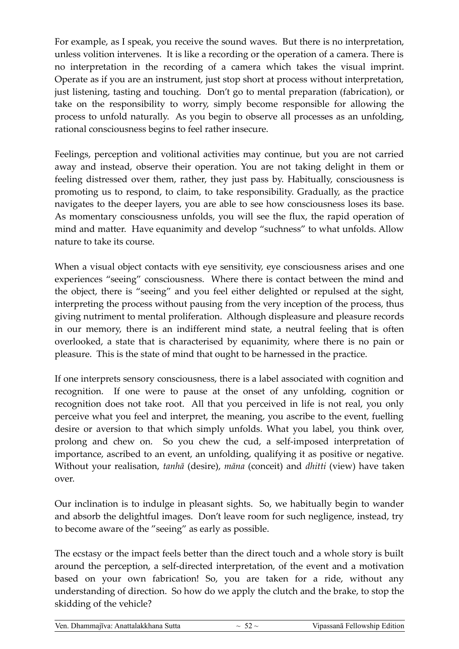For example, as I speak, you receive the sound waves. But there is no interpretation, unless volition intervenes. It is like a recording or the operation of a camera. There is no interpretation in the recording of a camera which takes the visual imprint. Operate as if you are an instrument, just stop short at process without interpretation, just listening, tasting and touching. Don't go to mental preparation (fabrication), or take on the responsibility to worry, simply become responsible for allowing the process to unfold naturally. As you begin to observe all processes as an unfolding, rational consciousness begins to feel rather insecure.

Feelings, perception and volitional activities may continue, but you are not carried away and instead, observe their operation. You are not taking delight in them or feeling distressed over them, rather, they just pass by. Habitually, consciousness is promoting us to respond, to claim, to take responsibility. Gradually, as the practice navigates to the deeper layers, you are able to see how consciousness loses its base. As momentary consciousness unfolds, you will see the flux, the rapid operation of mind and matter. Have equanimity and develop "suchness" to what unfolds. Allow nature to take its course.

When a visual object contacts with eye sensitivity, eye consciousness arises and one experiences "seeing" consciousness. Where there is contact between the mind and the object, there is "seeing" and you feel either delighted or repulsed at the sight, interpreting the process without pausing from the very inception of the process, thus giving nutriment to mental proliferation. Although displeasure and pleasure records in our memory, there is an indifferent mind state, a neutral feeling that is often overlooked, a state that is characterised by equanimity, where there is no pain or pleasure. This is the state of mind that ought to be harnessed in the practice.

If one interprets sensory consciousness, there is a label associated with cognition and recognition. If one were to pause at the onset of any unfolding, cognition or recognition does not take root. All that you perceived in life is not real, you only perceive what you feel and interpret, the meaning, you ascribe to the event, fuelling desire or aversion to that which simply unfolds. What you label, you think over, prolong and chew on. So you chew the cud, a self-imposed interpretation of importance, ascribed to an event, an unfolding, qualifying it as positive or negative. Without your realisation, *tanhā* (desire), *māna* (conceit) and *dhitti* (view) have taken over.

Our inclination is to indulge in pleasant sights. So, we habitually begin to wander and absorb the delightful images. Don't leave room for such negligence, instead, try to become aware of the "seeing" as early as possible.

The ecstasy or the impact feels better than the direct touch and a whole story is built around the perception, a self-directed interpretation, of the event and a motivation based on your own fabrication! So, you are taken for a ride, without any understanding of direction. So how do we apply the clutch and the brake, to stop the skidding of the vehicle?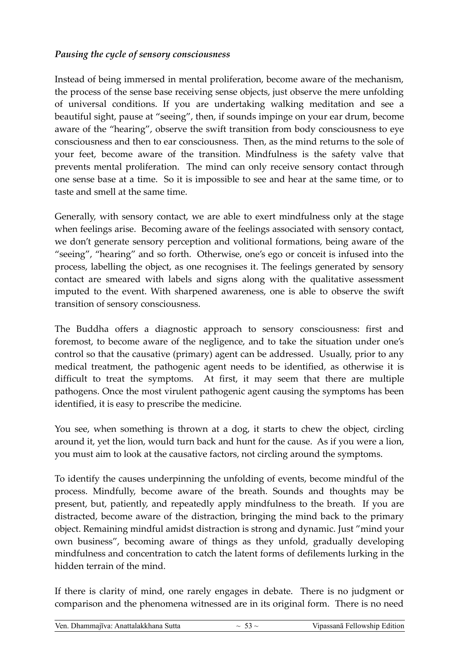#### *Pausing the cycle of sensory consciousness*

Instead of being immersed in mental proliferation, become aware of the mechanism, the process of the sense base receiving sense objects, just observe the mere unfolding of universal conditions. If you are undertaking walking meditation and see a beautiful sight, pause at "seeing", then, if sounds impinge on your ear drum, become aware of the "hearing", observe the swift transition from body consciousness to eye consciousness and then to ear consciousness. Then, as the mind returns to the sole of your feet, become aware of the transition. Mindfulness is the safety valve that prevents mental proliferation. The mind can only receive sensory contact through one sense base at a time. So it is impossible to see and hear at the same time, or to taste and smell at the same time.

Generally, with sensory contact, we are able to exert mindfulness only at the stage when feelings arise. Becoming aware of the feelings associated with sensory contact, we don't generate sensory perception and volitional formations, being aware of the "seeing", "hearing" and so forth. Otherwise, one's ego or conceit is infused into the process, labelling the object, as one recognises it. The feelings generated by sensory contact are smeared with labels and signs along with the qualitative assessment imputed to the event. With sharpened awareness, one is able to observe the swift transition of sensory consciousness.

The Buddha offers a diagnostic approach to sensory consciousness: first and foremost, to become aware of the negligence, and to take the situation under one's control so that the causative (primary) agent can be addressed. Usually, prior to any medical treatment, the pathogenic agent needs to be identified, as otherwise it is difficult to treat the symptoms. At first, it may seem that there are multiple pathogens. Once the most virulent pathogenic agent causing the symptoms has been identified, it is easy to prescribe the medicine.

You see, when something is thrown at a dog, it starts to chew the object, circling around it, yet the lion, would turn back and hunt for the cause. As if you were a lion, you must aim to look at the causative factors, not circling around the symptoms.

To identify the causes underpinning the unfolding of events, become mindful of the process. Mindfully, become aware of the breath. Sounds and thoughts may be present, but, patiently, and repeatedly apply mindfulness to the breath. If you are distracted, become aware of the distraction, bringing the mind back to the primary object. Remaining mindful amidst distraction is strong and dynamic. Just "mind your own business", becoming aware of things as they unfold, gradually developing mindfulness and concentration to catch the latent forms of defilements lurking in the hidden terrain of the mind.

If there is clarity of mind, one rarely engages in debate. There is no judgment or comparison and the phenomena witnessed are in its original form. There is no need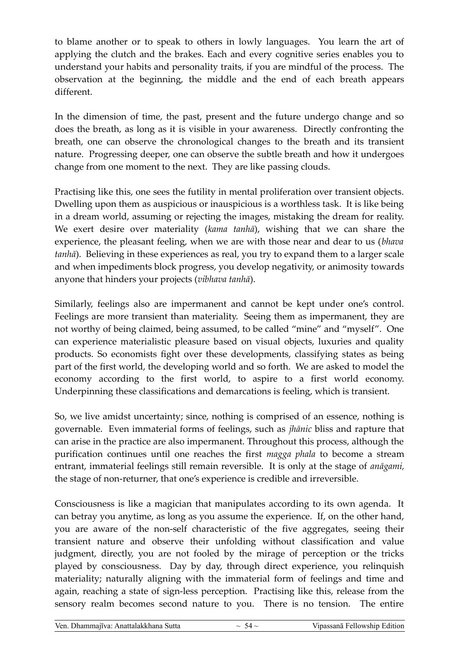to blame another or to speak to others in lowly languages. You learn the art of applying the clutch and the brakes. Each and every cognitive series enables you to understand your habits and personality traits, if you are mindful of the process. The observation at the beginning, the middle and the end of each breath appears different.

In the dimension of time, the past, present and the future undergo change and so does the breath, as long as it is visible in your awareness. Directly confronting the breath, one can observe the chronological changes to the breath and its transient nature. Progressing deeper, one can observe the subtle breath and how it undergoes change from one moment to the next. They are like passing clouds.

Practising like this, one sees the futility in mental proliferation over transient objects. Dwelling upon them as auspicious or inauspicious is a worthless task. It is like being in a dream world, assuming or rejecting the images, mistaking the dream for reality. We exert desire over materiality (*kama tanhā*), wishing that we can share the experience, the pleasant feeling, when we are with those near and dear to us (*bhava tanhā*). Believing in these experiences as real, you try to expand them to a larger scale and when impediments block progress, you develop negativity, or animosity towards anyone that hinders your projects (*vibhava tanhā*).

Similarly, feelings also are impermanent and cannot be kept under one's control. Feelings are more transient than materiality. Seeing them as impermanent, they are not worthy of being claimed, being assumed, to be called "mine" and "myself". One can experience materialistic pleasure based on visual objects, luxuries and quality products. So economists fight over these developments, classifying states as being part of the first world, the developing world and so forth. We are asked to model the economy according to the first world, to aspire to a first world economy. Underpinning these classifications and demarcations is feeling, which is transient.

So, we live amidst uncertainty; since, nothing is comprised of an essence, nothing is governable. Even immaterial forms of feelings, such as *jhānic* bliss and rapture that can arise in the practice are also impermanent. Throughout this process, although the purification continues until one reaches the first *magga phala* to become a stream entrant, immaterial feelings still remain reversible. It is only at the stage of *anāgami,* the stage of non-returner, that one's experience is credible and irreversible.

Consciousness is like a magician that manipulates according to its own agenda. It can betray you anytime, as long as you assume the experience. If, on the other hand, you are aware of the non-self characteristic of the five aggregates, seeing their transient nature and observe their unfolding without classification and value judgment, directly, you are not fooled by the mirage of perception or the tricks played by consciousness. Day by day, through direct experience, you relinquish materiality; naturally aligning with the immaterial form of feelings and time and again, reaching a state of sign-less perception. Practising like this, release from the sensory realm becomes second nature to you. There is no tension. The entire